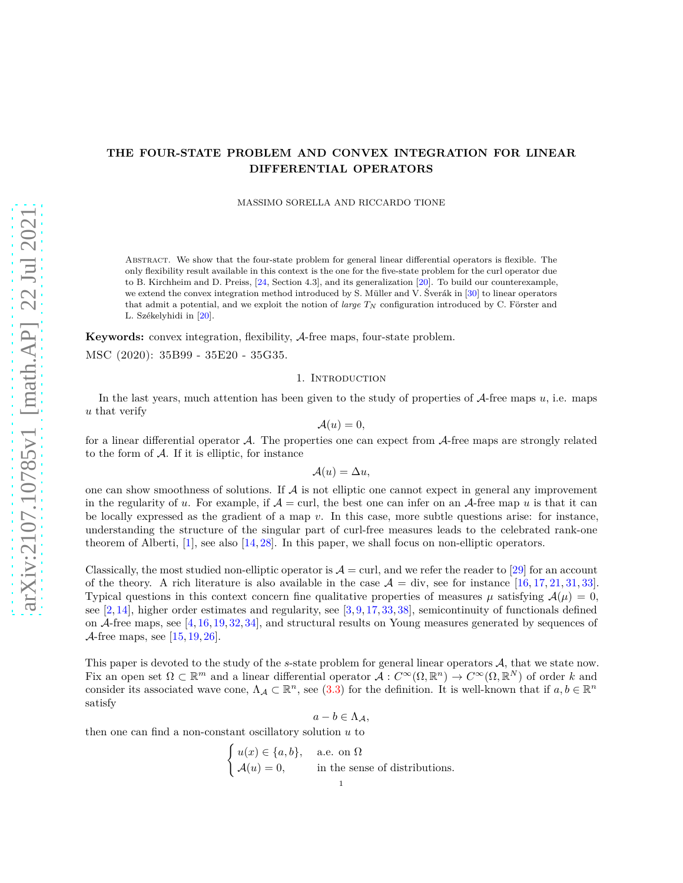# **THE FOUR-STATE PROBLEM AND CONVEX INTEGRATION FOR LINEAR DIFFERENTIAL OPERATORS**

MASSIMO SORELLA AND RICCARDO TIONE

Abstract. We show that the four-state problem for general linear differential operators is flexible. The only flexibility result available in this context is the one for the five-state problem for the curl operator due to B. Kirchheim and D. Preiss, [\[24,](#page-23-0) Section 4.3], and its generalization [\[20\]](#page-23-1). To build our counterexample, we extend the convex integration method introduced by S. Müller and V. Šverák in [\[30\]](#page-24-0) to linear operators that admit a potential, and we exploit the notion of *large T<sup>N</sup>* configuration introduced by C. Förster and L. Székelyhidi in [\[20\]](#page-23-1).

**Keywords:** convex integration, flexibility, A-free maps, four-state problem. MSC (2020): 35B99 - 35E20 - 35G35.

## 1. INTRODUCTION

In the last years, much attention has been given to the study of properties of A-free maps *u*, i.e. maps *u* that verify

$$
\mathcal{A}(u)=0,
$$

for a linear differential operator  $\mathcal{A}$ . The properties one can expect from  $\mathcal{A}$ -free maps are strongly related to the form of  $A$ . If it is elliptic, for instance

$$
\mathcal{A}(u) = \Delta u,
$$

one can show smoothness of solutions. If  $A$  is not elliptic one cannot expect in general any improvement in the regularity of *u*. For example, if  $A = \text{curl}$ , the best one can infer on an A-free map *u* is that it can be locally expressed as the gradient of a map *v*. In this case, more subtle questions arise: for instance, understanding the structure of the singular part of curl-free measures leads to the celebrated rank-one theorem of Alberti,  $[1]$ , see also  $[14, 28]$  $[14, 28]$ . In this paper, we shall focus on non-elliptic operators.

Classically, the most studied non-elliptic operator is  $A = \text{curl}$ , and we refer the reader to [\[29\]](#page-24-2) for an account of the theory. A rich literature is also available in the case  $A = \text{div}$ , see for instance [\[16,](#page-23-4) [17,](#page-23-5) [21,](#page-23-6) [31,](#page-24-3) [33\]](#page-24-4). Typical questions in this context concern fine qualitative properties of measures  $\mu$  satisfying  $\mathcal{A}(\mu) = 0$ , see  $[2, 14]$  $[2, 14]$ , higher order estimates and regularity, see  $[3, 9, 17, 33, 38]$  $[3, 9, 17, 33, 38]$  $[3, 9, 17, 33, 38]$  $[3, 9, 17, 33, 38]$  $[3, 9, 17, 33, 38]$  $[3, 9, 17, 33, 38]$  $[3, 9, 17, 33, 38]$  $[3, 9, 17, 33, 38]$ , semicontinuity of functionals defined on  $\mathcal{A}$ -free maps, see [\[4,](#page-23-10) [16,](#page-23-4) [19,](#page-23-11) [32,](#page-24-6) [34\]](#page-24-7), and structural results on Young measures generated by sequences of A-free maps, see  $[15, 19, 26]$  $[15, 19, 26]$  $[15, 19, 26]$  $[15, 19, 26]$ .

This paper is devoted to the study of the *s*-state problem for general linear operators A, that we state now. Fix an open set  $\Omega \subset \mathbb{R}^m$  and a linear differential operator  $\mathcal{A}: C^{\infty}(\Omega, \mathbb{R}^n) \to C^{\infty}(\Omega, \mathbb{R}^N)$  of order k and consider its associated wave cone,  $\Lambda_{\mathcal{A}} \subset \mathbb{R}^n$ , see [\(3.3\)](#page-3-0) for the definition. It is well-known that if  $a, b \in \mathbb{R}^n$ satisfy

$$
a-b\in \Lambda_{\mathcal{A}},
$$

then one can find a non-constant oscillatory solution *u* to  $\epsilon$ 

$$
\begin{cases}\n u(x) \in \{a, b\}, & \text{a.e. on } \Omega \\
 \mathcal{A}(u) = 0, & \text{in the sense of distributions.} \n\end{cases}
$$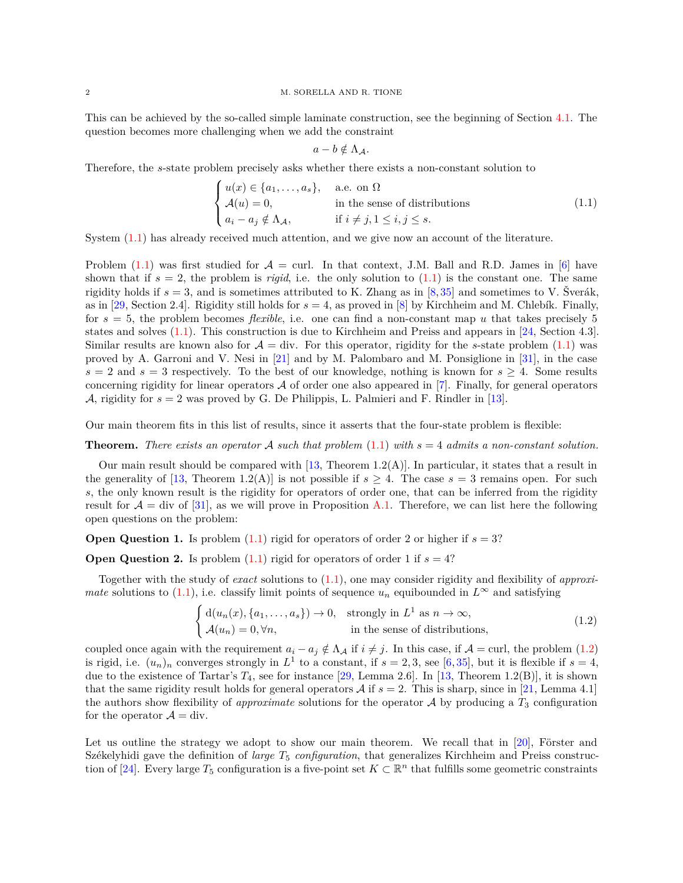This can be achieved by the so-called simple laminate construction, see the beginning of Section [4.1.](#page-5-0) The question becomes more challenging when we add the constraint

$$
a-b\notin \Lambda_{\mathcal{A}}.
$$

Therefore, the *s*-state problem precisely asks whether there exists a non-constant solution to

<span id="page-1-0"></span>
$$
\begin{cases}\n u(x) \in \{a_1, \ldots, a_s\}, & \text{a.e. on } \Omega \\
 \mathcal{A}(u) = 0, & \text{in the sense of distributions} \\
 a_i - a_j \notin \Lambda_{\mathcal{A}}, & \text{if } i \neq j, 1 \leq i, j \leq s.\n\end{cases}
$$
\n(1.1)

System [\(1.1\)](#page-1-0) has already received much attention, and we give now an account of the literature.

Problem [\(1.1\)](#page-1-0) was first studied for  $\mathcal{A} = \text{curl}$ . In that context, J.M. Ball and R.D. James in [\[6\]](#page-23-14) have shown that if  $s = 2$ , the problem is *rigid*, i.e. the only solution to  $(1.1)$  is the constant one. The same rigidity holds if *s* = 3, and is sometimes attributed to K. Zhang as in [\[8,](#page-23-15) [35\]](#page-24-8) and sometimes to V. Šverák, as in [\[29,](#page-24-2) Section 2.4]. Rigidity still holds for  $s = 4$ , as proved in [\[8\]](#page-23-15) by Kirchheim and M. Chlebík. Finally, for  $s = 5$ , the problem becomes *flexible*, i.e. one can find a non-constant map *u* that takes precisely 5 states and solves [\(1.1\)](#page-1-0). This construction is due to Kirchheim and Preiss and appears in [\[24,](#page-23-0) Section 4.3]. Similar results are known also for  $\mathcal{A} = \text{div}$ . For this operator, rigidity for the *s*-state problem [\(1.1\)](#page-1-0) was proved by A. Garroni and V. Nesi in [\[21\]](#page-23-6) and by M. Palombaro and M. Ponsiglione in [\[31\]](#page-24-3), in the case  $s = 2$  and  $s = 3$  respectively. To the best of our knowledge, nothing is known for  $s \geq 4$ . Some results concerning rigidity for linear operators A of order one also appeared in [\[7\]](#page-23-16). Finally, for general operators A, rigidity for  $s = 2$  was proved by G. De Philippis, L. Palmieri and F. Rindler in [\[13\]](#page-23-17).

Our main theorem fits in this list of results, since it asserts that the four-state problem is flexible:

**Theorem.** *There exists an operator* A *such that problem* [\(1.1\)](#page-1-0) *with s* = 4 *admits a non-constant solution.*

Our main result should be compared with  $[13,$  Theorem 1.2(A). In particular, it states that a result in the generality of [\[13,](#page-23-17) Theorem 1.2(A)] is not possible if  $s \geq 4$ . The case  $s = 3$  remains open. For such *s*, the only known result is the rigidity for operators of order one, that can be inferred from the rigidity result for  $\mathcal{A} = \text{div of } [31]$  $\mathcal{A} = \text{div of } [31]$ , as we will prove in Proposition [A.1.](#page-22-0) Therefore, we can list here the following open questions on the problem:

**Open Question 1.** Is problem  $(1.1)$  rigid for operators of order 2 or higher if  $s = 3$ ?

**Open Question 2.** Is problem  $(1.1)$  rigid for operators of order 1 if  $s = 4$ ?

Together with the study of *exact* solutions to [\(1.1\)](#page-1-0), one may consider rigidity and flexibility of *approximate* solutions to [\(1.1\)](#page-1-0), i.e. classify limit points of sequence  $u_n$  equibounded in  $L^{\infty}$  and satisfying

<span id="page-1-1"></span>
$$
\begin{cases} d(u_n(x), \{a_1, \ldots, a_s\}) \to 0, & \text{strongly in } L^1 \text{ as } n \to \infty, \\ \mathcal{A}(u_n) = 0, \forall n, & \text{in the sense of distributions,} \end{cases}
$$
\n(1.2)

coupled once again with the requirement  $a_i - a_j \notin \Lambda_{\mathcal{A}}$  if  $i \neq j$ . In this case, if  $\mathcal{A} = \text{curl}$ , the problem [\(1.2\)](#page-1-1) is rigid, i.e.  $(u_n)_n$  converges strongly in  $L^1$  to a constant, if  $s = 2, 3$ , see [\[6,](#page-23-14)[35\]](#page-24-8), but it is flexible if  $s = 4$ , due to the existence of Tartar's  $T_4$ , see for instance [\[29,](#page-24-2) Lemma 2.6]. In [\[13,](#page-23-17) Theorem 1.2(B)], it is shown that the same rigidity result holds for general operators A if  $s = 2$ . This is sharp, since in [\[21,](#page-23-6) Lemma 4.1] the authors show flexibility of *approximate* solutions for the operator  $\mathcal A$  by producing a  $T_3$  configuration for the operator  $\mathcal{A} = \text{div}.$ 

Let us outline the strategy we adopt to show our main theorem. We recall that in [\[20\]](#page-23-1), Förster and Székelyhidi gave the definition of *large T*<sup>5</sup> *configuration*, that generalizes Kirchheim and Preiss construc-tion of [\[24\]](#page-23-0). Every large  $T_5$  configuration is a five-point set  $K \subset \mathbb{R}^n$  that fulfills some geometric constraints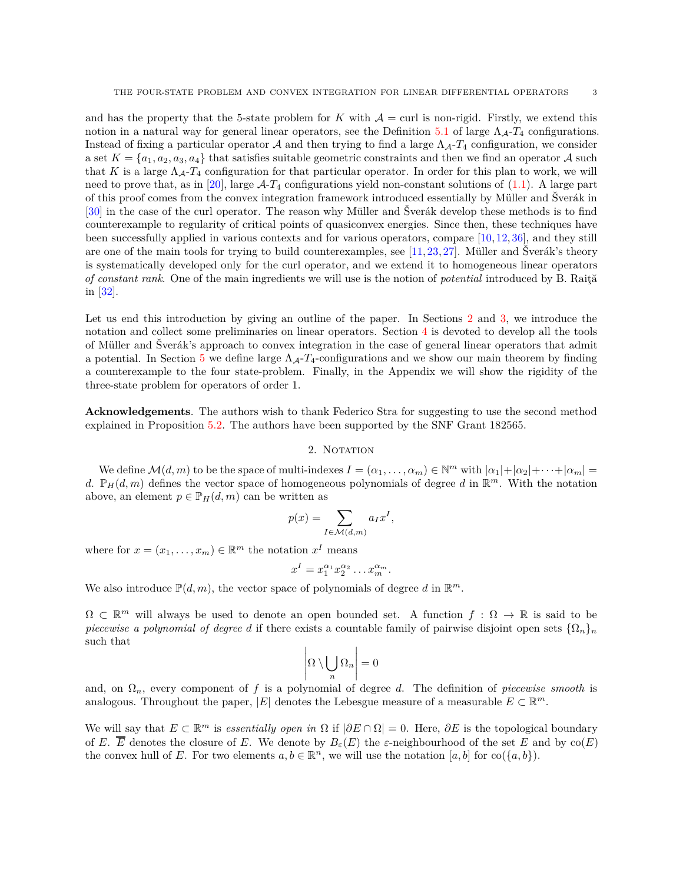and has the property that the 5-state problem for *K* with  $A = \text{curl}$  is non-rigid. Firstly, we extend this notion in a natural way for general linear operators, see the Definition [5.1](#page-16-0) of large  $\Lambda_{\mathcal{A}}$ - $T_4$  configurations. Instead of fixing a particular operator A and then trying to find a large  $\Lambda_{\mathcal{A}}-T_4$  configuration, we consider a set  $K = \{a_1, a_2, a_3, a_4\}$  that satisfies suitable geometric constraints and then we find an operator A such that *K* is a large  $\Lambda_{\mathcal{A}}$ - $T_4$  configuration for that particular operator. In order for this plan to work, we will need to prove that, as in [\[20\]](#page-23-1), large  $A-T_4$  configurations yield non-constant solutions of [\(1.1\)](#page-1-0). A large part of this proof comes from the convex integration framework introduced essentially by Müller and Šverák in [\[30\]](#page-24-0) in the case of the curl operator. The reason why Müller and Šverák develop these methods is to find counterexample to regularity of critical points of quasiconvex energies. Since then, these techniques have been successfully applied in various contexts and for various operators, compare [\[10,](#page-23-18) [12,](#page-23-19) [36\]](#page-24-9), and they still are one of the main tools for trying to build counterexamples, see [\[11,](#page-23-20) [23,](#page-23-21) [27\]](#page-24-10). Müller and Šverák's theory is systematically developed only for the curl operator, and we extend it to homogeneous linear operators *of constant rank*. One of the main ingredients we will use is the notion of *potential* introduced by B. Raită in [\[32\]](#page-24-6).

Let us end this introduction by giving an outline of the paper. In Sections [2](#page-2-0) and [3,](#page-3-1) we introduce the notation and collect some preliminaries on linear operators. Section [4](#page-4-0) is devoted to develop all the tools of Müller and Šverák's approach to convex integration in the case of general linear operators that admit a potential. In Section [5](#page-16-1) we define large  $\Lambda_{\mathcal{A}}$ - $T_4$ -configurations and we show our main theorem by finding a counterexample to the four state-problem. Finally, in the Appendix we will show the rigidity of the three-state problem for operators of order 1.

<span id="page-2-0"></span>**Acknowledgements**. The authors wish to thank Federico Stra for suggesting to use the second method explained in Proposition [5.2.](#page-18-0) The authors have been supported by the SNF Grant 182565.

#### 2. NOTATION

We define  $\mathcal{M}(d,m)$  to be the space of multi-indexes  $I = (\alpha_1, \dots, \alpha_m) \in \mathbb{N}^m$  with  $|\alpha_1| + |\alpha_2| + \dots + |\alpha_m| =$ d.  $\mathbb{P}_H(d,m)$  defines the vector space of homogeneous polynomials of degree d in  $\mathbb{R}^m$ . With the notation above, an element  $p \in \mathbb{P}_H(d,m)$  can be written as

$$
p(x) = \sum_{I \in \mathcal{M}(d,m)} a_I x^I,
$$

where for  $x = (x_1, \ldots, x_m) \in \mathbb{R}^m$  the notation  $x^I$  means

$$
x^I = x_1^{\alpha_1} x_2^{\alpha_2} \dots x_m^{\alpha_m}.
$$

We also introduce  $\mathbb{P}(d,m)$ , the vector space of polynomials of degree d in  $\mathbb{R}^m$ .

 $\Omega \subset \mathbb{R}^m$  will always be used to denote an open bounded set. A function  $f : \Omega \to \mathbb{R}$  is said to be *piecewise a polynomial of degree d* if there exists a countable family of pairwise disjoint open sets  $\{\Omega_n\}_n$ such that  $\mathbf{L}$ 

$$
\left|\Omega\setminus\bigcup_n\Omega_n\right|=0
$$

and, on Ω*n*, every component of *f* is a polynomial of degree *d*. The definition of *piecewise smooth* is analogous. Throughout the paper,  $|E|$  denotes the Lebesgue measure of a measurable  $E \subset \mathbb{R}^m$ .

We will say that  $E \subset \mathbb{R}^m$  is *essentially open in*  $\Omega$  if  $|\partial E \cap \Omega| = 0$ . Here,  $\partial E$  is the topological boundary of *E*.  $\overline{E}$  denotes the closure of *E*. We denote by  $B_{\varepsilon}(E)$  the  $\varepsilon$ -neighbourhood of the set *E* and by co(*E*) the convex hull of *E*. For two elements  $a, b \in \mathbb{R}^n$ , we will use the notation  $[a, b]$  for  $\text{co}(\{a, b\})$ .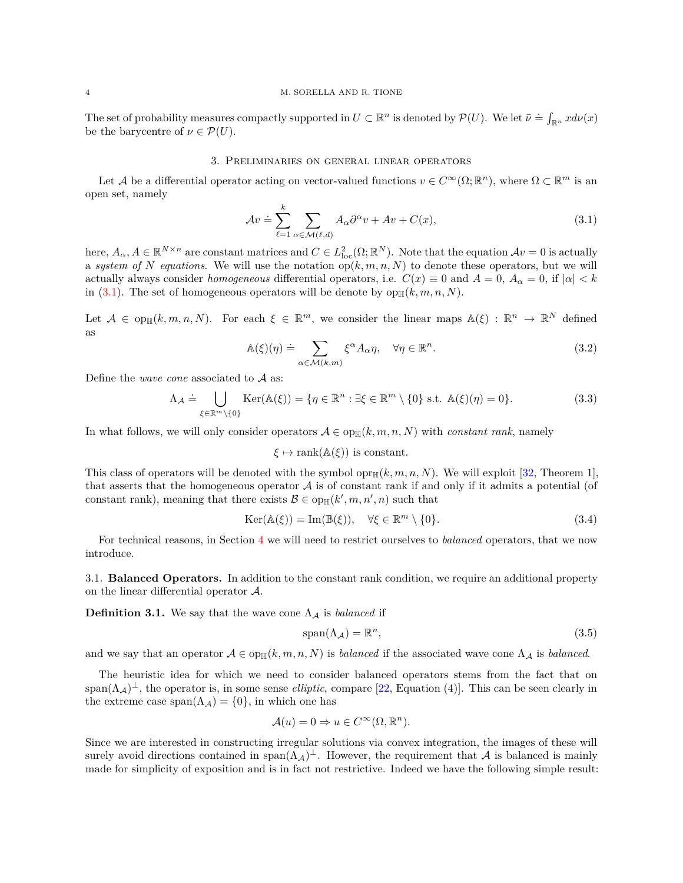#### 4 M. SORELLA AND R. TIONE

The set of probability measures compactly supported in  $U \subset \mathbb{R}^n$  is denoted by  $\mathcal{P}(U)$ . We let  $\bar{\nu} \doteq \int_{\mathbb{R}^n} x d\nu(x)$ be the barycentre of  $\nu \in \mathcal{P}(U)$ .

#### 3. Preliminaries on general linear operators

<span id="page-3-1"></span>Let A be a differential operator acting on vector-valued functions  $v \in C^{\infty}(\Omega; \mathbb{R}^n)$ , where  $\Omega \subset \mathbb{R}^m$  is an open set, namely

<span id="page-3-2"></span>
$$
\mathcal{A}v \doteq \sum_{\ell=1}^{k} \sum_{\alpha \in \mathcal{M}(\ell,d)} A_{\alpha} \partial^{\alpha} v + Av + C(x), \tag{3.1}
$$

here,  $A_{\alpha}, A \in \mathbb{R}^{N \times n}$  are constant matrices and  $C \in L^2_{loc}(\Omega; \mathbb{R}^N)$ . Note that the equation  $Av = 0$  is actually a *system of N equations*. We will use the notation  $op(k, m, n, N)$  to denote these operators, but we will actually always consider *homogeneous* differential operators, i.e.  $C(x) \equiv 0$  and  $A = 0$ ,  $A_{\alpha} = 0$ , if  $|\alpha| < k$ in [\(3.1\)](#page-3-2). The set of homogeneous operators will be denote by  $op_{\mathbb{H}}(k, m, n, N)$ .

Let  $A \in \text{op}_{\mathbb{H}}(k,m,n,N)$ . For each  $\xi \in \mathbb{R}^m$ , we consider the linear maps  $\mathbb{A}(\xi) : \mathbb{R}^n \to \mathbb{R}^N$  defined as

$$
\mathbb{A}(\xi)(\eta) \doteq \sum_{\alpha \in \mathcal{M}(k,m)} \xi^{\alpha} A_{\alpha} \eta, \quad \forall \eta \in \mathbb{R}^{n}.
$$
\n(3.2)

Define the *wave cone* associated to A as:

<span id="page-3-0"></span>
$$
\Lambda_{\mathcal{A}} \doteq \bigcup_{\xi \in \mathbb{R}^m \setminus \{0\}} \text{Ker}(\mathbb{A}(\xi)) = \{ \eta \in \mathbb{R}^n : \exists \xi \in \mathbb{R}^m \setminus \{0\} \text{ s.t. } \mathbb{A}(\xi)(\eta) = 0 \}. \tag{3.3}
$$

In what follows, we will only consider operators  $A \in \text{op}_{\mathbb{H}}(k, m, n, N)$  with *constant rank*, namely

$$
\xi \mapsto \text{rank}(\mathbb{A}(\xi))
$$
 is constant.

This class of operators will be denoted with the symbol  $\text{opt}_{\mathbb{H}}(k, m, n, N)$ . We will exploit [\[32,](#page-24-6) Theorem 1], that asserts that the homogeneous operator  $A$  is of constant rank if and only if it admits a potential (of constant rank), meaning that there exists  $\mathcal{B} \in \text{op}_{\mathbb{H}}(k', m, n', n)$  such that

<span id="page-3-3"></span>
$$
\text{Ker}(\mathbb{A}(\xi)) = \text{Im}(\mathbb{B}(\xi)), \quad \forall \xi \in \mathbb{R}^m \setminus \{0\}. \tag{3.4}
$$

For technical reasons, in Section [4](#page-4-0) we will need to restrict ourselves to *balanced* operators, that we now introduce.

3.1. **Balanced Operators.** In addition to the constant rank condition, we require an additional property on the linear differential operator A.

**Definition 3.1.** We say that the wave cone  $\Lambda_A$  is *balanced* if

$$
span(\Lambda_{\mathcal{A}}) = \mathbb{R}^n,\tag{3.5}
$$

and we say that an operator  $\mathcal{A} \in \text{op}_{\mathbb{H}}(k, m, n, N)$  is *balanced* if the associated wave cone  $\Lambda_{\mathcal{A}}$  is *balanced*.

The heuristic idea for which we need to consider balanced operators stems from the fact that on  $\text{span}(\Lambda_{\mathcal{A}})^{\perp}$ , the operator is, in some sense *elliptic*, compare [\[22,](#page-23-22) Equation (4)]. This can be seen clearly in the extreme case span( $\Lambda_{\mathcal{A}}$ ) = {0}, in which one has

$$
\mathcal{A}(u) = 0 \Rightarrow u \in C^{\infty}(\Omega, \mathbb{R}^n).
$$

Since we are interested in constructing irregular solutions via convex integration, the images of these will surely avoid directions contained in span $(\Lambda_{\mathcal{A}})^{\perp}$ . However, the requirement that  $\mathcal{A}$  is balanced is mainly made for simplicity of exposition and is in fact not restrictive. Indeed we have the following simple result: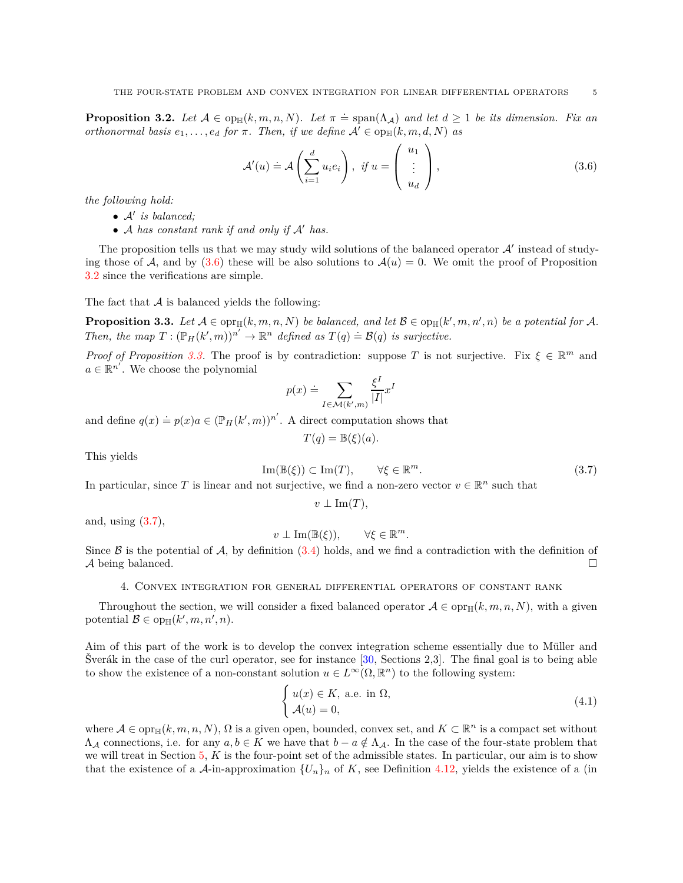<span id="page-4-2"></span>**Proposition 3.2.** Let  $A \in \text{op}_{\mathbb{H}}(k, m, n, N)$ . Let  $\pi \doteq \text{span}(\Lambda_A)$  and let  $d \geq 1$  be its dimension. Fix an *orthonormal basis*  $e_1, \ldots, e_d$  *for*  $\pi$ *. Then, if we define*  $A' \in \text{op}_{\mathbb{H}}(k, m, d, N)$  *as* 

<span id="page-4-1"></span>
$$
\mathcal{A}'(u) \doteq \mathcal{A}\left(\sum_{i=1}^d u_i e_i\right), \quad \text{if } u = \left(\begin{array}{c} u_1 \\ \vdots \\ u_d \end{array}\right),\tag{3.6}
$$

*the following hold:*

- A′ *is balanced;*
- A *has constant rank if and only if* A′ *has.*

The proposition tells us that we may study wild solutions of the balanced operator  $A'$  instead of studying those of A, and by  $(3.6)$  these will be also solutions to  $\mathcal{A}(u) = 0$ . We omit the proof of Proposition [3.2](#page-4-2) since the verifications are simple.

The fact that  $A$  is balanced yields the following:

<span id="page-4-3"></span>**Proposition 3.3.** Let  $A \in \text{optm}(k, m, n, N)$  be balanced, and let  $B \in \text{optm}(k', m, n', n)$  be a potential for A. *Then, the map*  $T : (\mathbb{P}_H(k',m))^{n'} \to \mathbb{R}^n$  *defined as*  $T(q) \doteq \mathcal{B}(q)$  *is surjective.* 

*Proof of Proposition* [3.3.](#page-4-3) The proof is by contradiction: suppose *T* is not surjective. Fix  $\xi \in \mathbb{R}^m$  and  $a \in \mathbb{R}^{n'}$ . We choose the polynomial

$$
p(x) \doteq \sum_{I \in \mathcal{M}(k',m)} \frac{\xi^I}{|I|} x^I
$$

and define  $q(x) \doteq p(x)a \in (\mathbb{P}_H(k', m))^{n'}$ . A direct computation shows that

$$
T(q) = \mathbb{B}(\xi)(a).
$$

This yields

<span id="page-4-4"></span>
$$
\operatorname{Im}(\mathbb{B}(\xi)) \subset \operatorname{Im}(T), \qquad \forall \xi \in \mathbb{R}^m. \tag{3.7}
$$

In particular, since T is linear and not surjective, we find a non-zero vector  $v \in \mathbb{R}^n$  such that

 $v \perp \text{Im}(T)$ ,

and, using  $(3.7)$ ,

 $v \perp \text{Im}(\mathbb{B}(\xi)),$  $\forall \xi \in \mathbb{R}^m$ .

<span id="page-4-0"></span>Since  $\beta$  is the potential of  $\mathcal{A}$ , by definition [\(3.4\)](#page-3-3) holds, and we find a contradiction with the definition of A being balanced.  $\Box$ 

4. Convex integration for general differential operators of constant rank

Throughout the section, we will consider a fixed balanced operator  $A \in \text{opt}_{\mathbb{H}}(k, m, n, N)$ , with a given potential  $\mathcal{B} \in \text{op}_{\mathbb{H}}(k', m, n', n)$ .

Aim of this part of the work is to develop the convex integration scheme essentially due to Müller and Šverák in the case of the curl operator, see for instance [\[30,](#page-24-0) Sections 2,3]. The final goal is to being able to show the existence of a non-constant solution  $u \in L^{\infty}(\Omega, \mathbb{R}^n)$  to the following system:

<span id="page-4-5"></span>
$$
\begin{cases}\n u(x) \in K, \text{ a.e. in } \Omega, \\
 \mathcal{A}(u) = 0,\n\end{cases} \tag{4.1}
$$

where  $A \in \text{opr}_{\mathbb{H}}(k, m, n, N)$ ,  $\Omega$  is a given open, bounded, convex set, and  $K \subset \mathbb{R}^n$  is a compact set without  $\Lambda_A$  connections, i.e. for any  $a, b \in K$  we have that  $b - a \notin \Lambda_A$ . In the case of the four-state problem that we will treat in Section [5,](#page-16-1) *K* is the four-point set of the admissible states. In particular, our aim is to show that the existence of a  $\mathcal{A}$ -in-approximation  $\{U_n\}_n$  of K, see Definition [4.12,](#page-14-0) yields the existence of a (in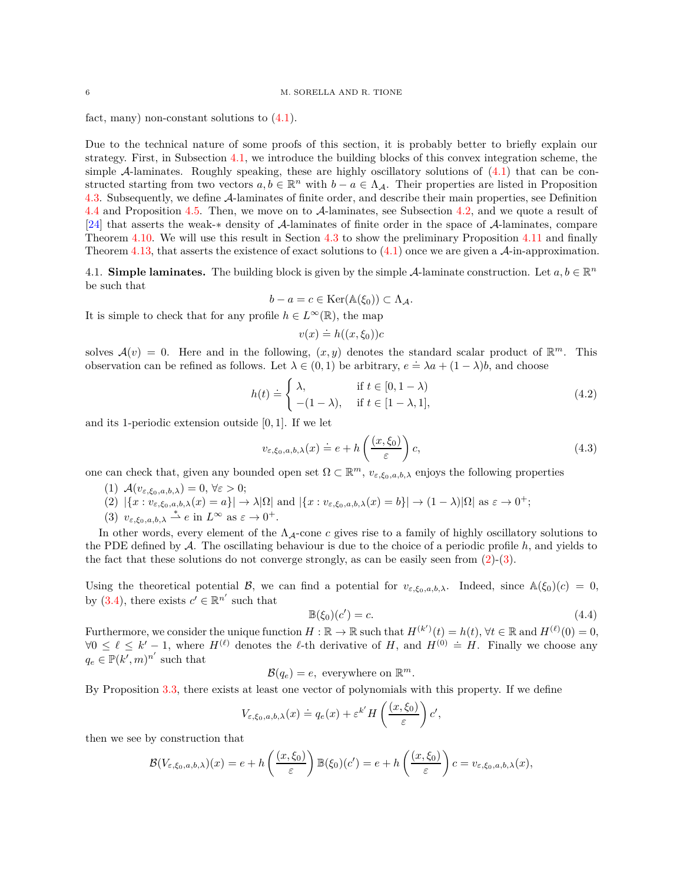fact, many) non-constant solutions to [\(4.1\)](#page-4-5).

Due to the technical nature of some proofs of this section, it is probably better to briefly explain our strategy. First, in Subsection [4.1,](#page-5-0) we introduce the building blocks of this convex integration scheme, the simple A-laminates. Roughly speaking, these are highly oscillatory solutions of  $(4.1)$  that can be constructed starting from two vectors  $a, b \in \mathbb{R}^n$  with  $b - a \in \Lambda_{\mathcal{A}}$ . Their properties are listed in Proposition [4.3.](#page-8-0) Subsequently, we define A-laminates of finite order, and describe their main properties, see Definition [4.4](#page-11-0) and Proposition [4.5.](#page-11-1) Then, we move on to A-laminates, see Subsection [4.2,](#page-12-0) and we quote a result of [\[24\]](#page-23-0) that asserts the weak-∗ density of A-laminates of finite order in the space of A-laminates, compare Theorem [4.10.](#page-12-1) We will use this result in Section [4.3](#page-13-0) to show the preliminary Proposition [4.11](#page-13-1) and finally Theorem [4.13,](#page-14-1) that asserts the existence of exact solutions to  $(4.1)$  once we are given a  $\mathcal{A}$ -in-approximation.

<span id="page-5-0"></span>4.1. **Simple laminates.** The building block is given by the simple A-laminate construction. Let  $a, b \in \mathbb{R}^n$ be such that

$$
b - a = c \in \text{Ker}(\mathbb{A}(\xi_0)) \subset \Lambda_{\mathcal{A}}.
$$

It is simple to check that for any profile  $h \in L^{\infty}(\mathbb{R})$ , the map

$$
v(x) \doteq h((x,\xi_0))c
$$

solves  $\mathcal{A}(v) = 0$ . Here and in the following,  $(x, y)$  denotes the standard scalar product of  $\mathbb{R}^m$ . This observation can be refined as follows. Let  $\lambda \in (0,1)$  be arbitrary,  $e = \lambda a + (1 - \lambda)b$ , and choose

$$
h(t) \doteq \begin{cases} \lambda, & \text{if } t \in [0, 1 - \lambda) \\ -(1 - \lambda), & \text{if } t \in [1 - \lambda, 1], \end{cases} \tag{4.2}
$$

and its 1-periodic extension outside [0*,* 1]. If we let

$$
v_{\varepsilon,\xi_0,a,b,\lambda}(x) \doteq e + h\left(\frac{(x,\xi_0)}{\varepsilon}\right)c,\tag{4.3}
$$

one can check that, given any bounded open set  $\Omega \subset \mathbb{R}^m$ ,  $v_{\varepsilon,\xi_0,a,b,\lambda}$  enjoys the following properties

- <span id="page-5-1"></span>(1)  $\mathcal{A}(v_{\varepsilon,\xi_0,a,b,\lambda})=0, \forall \varepsilon > 0;$
- <span id="page-5-2"></span> $(2) \left| \{x : v_{\varepsilon,\xi_0,a,b,\lambda}(x) = a \} \right| \to \lambda |\Omega| \text{ and } \left| \{x : v_{\varepsilon,\xi_0,a,b,\lambda}(x) = b \} \right| \to (1-\lambda) |\Omega| \text{ as } \varepsilon \to 0^+;$
- (3)  $v_{\varepsilon,\xi_0,a,b,\lambda} \stackrel{*}{\rightharpoonup} e$  in  $L^{\infty}$  as  $\varepsilon \to 0^+$ .

In other words, every element of the  $\Lambda_{\mathcal{A}}$ -cone *c* gives rise to a family of highly oscillatory solutions to the PDE defined by A. The oscillating behaviour is due to the choice of a periodic profile *h*, and yields to the fact that these solutions do not converge strongly, as can be easily seen from  $(2)-(3)$  $(2)-(3)$ .

Using the theoretical potential B, we can find a potential for  $v_{\varepsilon,\xi_0,a,b,\lambda}$ . Indeed, since  $\mathbb{A}(\xi_0)(c) = 0$ , by [\(3.4\)](#page-3-3), there exists  $c' \in \mathbb{R}^{n'}$  such that

$$
\mathbb{B}(\xi_0)(c') = c.\tag{4.4}
$$

Furthermore, we consider the unique function  $H : \mathbb{R} \to \mathbb{R}$  such that  $H^{(k')}(t) = h(t)$ ,  $\forall t \in \mathbb{R}$  and  $H^{(\ell)}(0) = 0$ ,  $\forall 0 \leq \ell \leq k'-1$ , where  $H^{(\ell)}$  denotes the  $\ell$ -th derivative of *H*, and  $H^{(0)} \doteq H$ . Finally we choose any  $q_e \in \mathbb{P}(k',m)^{n'}$  such that

$$
\mathcal{B}(q_e) = e, \text{ everywhere on } \mathbb{R}^m.
$$

By Proposition [3.3,](#page-4-3) there exists at least one vector of polynomials with this property. If we define

$$
V_{\varepsilon,\xi_0,a,b,\lambda}(x) \doteq q_e(x) + \varepsilon^{k'} H\left(\frac{(x,\xi_0)}{\varepsilon}\right) c',
$$

then we see by construction that

$$
\mathcal{B}(V_{\varepsilon,\xi_0,a,b,\lambda})(x) = e + h\left(\frac{(x,\xi_0)}{\varepsilon}\right) \mathbb{B}(\xi_0)(c') = e + h\left(\frac{(x,\xi_0)}{\varepsilon}\right) c = v_{\varepsilon,\xi_0,a,b,\lambda}(x),
$$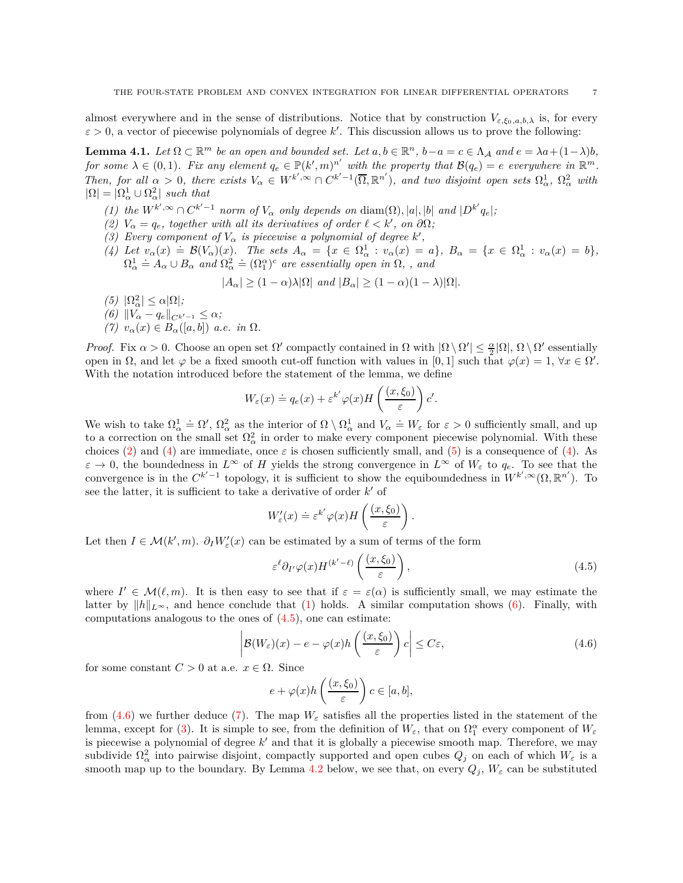almost everywhere and in the sense of distributions. Notice that by construction  $V_{\varepsilon,\xi_0,a,b,\lambda}$  is, for every  $\varepsilon > 0$ , a vector of piecewise polynomials of degree k'. This discussion allows us to prove the following:

<span id="page-6-9"></span>**Lemma 4.1.** Let  $\Omega \subset \mathbb{R}^m$  be an open and bounded set. Let  $a, b \in \mathbb{R}^n$ ,  $b - a = c \in \Lambda_{\mathcal{A}}$  and  $e = \lambda a + (1 - \lambda)b$ , *for some*  $\lambda \in (0,1)$ *. Fix any element*  $q_e \in \mathbb{P}(k',m)^{n'}$  with the property that  $\mathcal{B}(q_e) = e$  everywhere in  $\mathbb{R}^m$ *.* Then, for all  $\alpha > 0$ , there exists  $V_{\alpha} \in W^{k',\infty} \cap C^{k'-1}(\overline{\Omega}, \mathbb{R}^{n'})$ , and two disjoint open sets  $\Omega_{\alpha}^1$ ,  $\Omega_{\alpha}^2$  with  $|\Omega| = |\Omega^1_\alpha \cup \Omega^2_\alpha|$  *such that* 

- <span id="page-6-3"></span><span id="page-6-0"></span>(1) the  $W^{k',\infty} \cap C^{k'-1}$  norm of  $V_{\alpha}$  only depends on  $\text{diam}(\Omega), |a|, |b|$  and  $|D^{k'}q_e|$ ;
- <span id="page-6-8"></span>*(2)*  $V_{\alpha} = q_e$ , together with all its derivatives of order  $\ell < k'$ , on  $\partial\Omega$ ;
- <span id="page-6-1"></span>*(3) Every component of*  $V_{\alpha}$  *is piecewise a polynomial of degree*  $k'$ ,
- (4) Let  $v_{\alpha}(x) = \mathcal{B}(V_{\alpha})(x)$ . The sets  $A_{\alpha} = \{x \in \Omega_{\alpha}^1 : v_{\alpha}(x) = a\}$ ,  $B_{\alpha} = \{x \in \Omega_{\alpha}^1 : v_{\alpha}(x) = b\}$ ,  $\Omega_{\alpha}^1 \doteq A_{\alpha} \cup B_{\alpha}$  and  $\Omega_{\alpha}^2 \doteq (\Omega_{1}^{\alpha})^c$  are essentially open in  $\Omega$ , , and

$$
|A_{\alpha}| \ge (1 - \alpha)\lambda |\Omega| \text{ and } |B_{\alpha}| \ge (1 - \alpha)(1 - \lambda)|\Omega|.
$$

- <span id="page-6-7"></span><span id="page-6-4"></span><span id="page-6-2"></span> $(5)$   $|\Omega^2_{\alpha}| \leq \alpha |\Omega|$ ;  $(6)$   $||V_{\alpha} - q_e||_{C^{k'-1}} \leq \alpha;$
- $(7)$   $v_{\alpha}(x) \in B_{\alpha}([a, b])$  *a.e. in*  $\Omega$ *.*

*Proof.* Fix  $\alpha > 0$ . Choose an open set  $\Omega'$  compactly contained in  $\Omega$  with  $|\Omega \setminus \Omega'| \leq \frac{\alpha}{2} |\Omega|$ ,  $\Omega \setminus \Omega'$  essentially open in  $\Omega$ , and let  $\varphi$  be a fixed smooth cut-off function with values in [0, 1] such that  $\varphi(x) = 1$ ,  $\forall x \in \Omega'$ . With the notation introduced before the statement of the lemma, we define

$$
W_{\varepsilon}(x) \doteq q_e(x) + \varepsilon^{k'} \varphi(x) H\left(\frac{(x,\xi_0)}{\varepsilon}\right) c'.
$$

We wish to take  $\Omega_{\alpha}^1 \doteq \Omega'$ ,  $\Omega_{\alpha}^2$  as the interior of  $\Omega \setminus \Omega_{\alpha}^1$  and  $V_{\alpha} \doteq W_{\varepsilon}$  for  $\varepsilon > 0$  sufficiently small, and up to a correction on the small set  $\Omega^2_{\alpha}$  in order to make every component piecewise polynomial. With these choices [\(2\)](#page-6-0) and [\(4\)](#page-6-1) are immediate, once  $\varepsilon$  is chosen sufficiently small, and [\(5\)](#page-6-2) is a consequence of (4). As  $\varepsilon \to 0$ , the boundedness in  $L^{\infty}$  of *H* yields the strong convergence in  $L^{\infty}$  of  $W_{\varepsilon}$  to  $q_e$ . To see that the convergence is in the  $C^{k'-1}$  topology, it is sufficient to show the equiboundedness in  $W^{k',\infty}(\Omega,\mathbb{R}^{n'})$ . To see the latter, it is sufficient to take a derivative of order  $k'$  of

$$
W'_{\varepsilon}(x) \doteq \varepsilon^{k'} \varphi(x) H\left(\frac{(x,\xi_0)}{\varepsilon}\right).
$$

Let then  $I \in \mathcal{M}(k', m)$ .  $\partial_I W'_\varepsilon(x)$  can be estimated by a sum of terms of the form

<span id="page-6-5"></span>
$$
\varepsilon^{\ell} \partial_{I'} \varphi(x) H^{(k'-\ell)}\left(\frac{(x,\xi_0)}{\varepsilon}\right),\tag{4.5}
$$

where  $I' \in \mathcal{M}(\ell,m)$ . It is then easy to see that if  $\varepsilon = \varepsilon(\alpha)$  is sufficiently small, we may estimate the latter by  $||h||_{L^{\infty}}$ , and hence conclude that [\(1\)](#page-6-3) holds. A similar computation shows [\(6\)](#page-6-4). Finally, with computations analogous to the ones of [\(4.5\)](#page-6-5), one can estimate:

<span id="page-6-6"></span>
$$
\left| \mathcal{B}(W_{\varepsilon})(x) - e - \varphi(x)h\left(\frac{(x,\xi_0)}{\varepsilon}\right)c \right| \le C\varepsilon, \tag{4.6}
$$

for some constant  $C > 0$  at a.e.  $x \in \Omega$ . Since

$$
e + \varphi(x)h\left(\frac{(x,\xi_0)}{\varepsilon}\right)c \in [a,b],
$$

from [\(4.6\)](#page-6-6) we further deduce [\(7\)](#page-6-7). The map  $W_{\varepsilon}$  satisfies all the properties listed in the statement of the lemma, except for [\(3\)](#page-6-8). It is simple to see, from the definition of  $W_\varepsilon$ , that on  $\Omega_1^{\alpha}$  every component of  $W_\varepsilon$ is piecewise a polynomial of degree *k* ′ and that it is globally a piecewise smooth map. Therefore, we may subdivide  $\Omega^2_\alpha$  into pairwise disjoint, compactly supported and open cubes  $Q_j$  on each of which  $W_\varepsilon$  is a smooth map up to the boundary. By Lemma [4.2](#page-7-0) below, we see that, on every  $Q_j$ ,  $W_{\varepsilon}$  can be substituted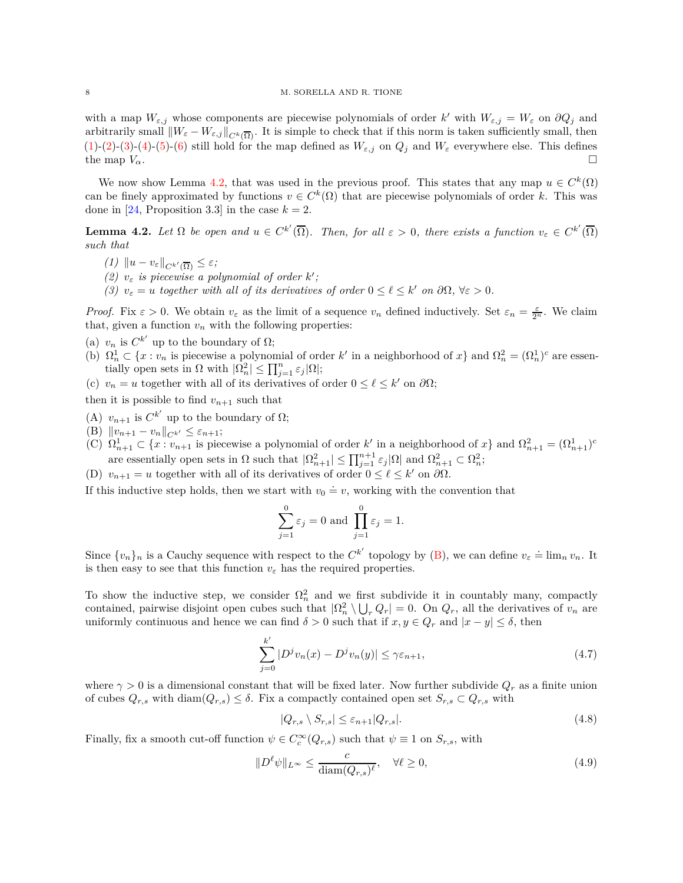with a map  $W_{\varepsilon,j}$  whose components are piecewise polynomials of order k' with  $W_{\varepsilon,j} = W_{\varepsilon}$  on  $\partial Q_j$  and arbitrarily small  $\|W_{\varepsilon} - W_{\varepsilon,j}\|_{C^k(\overline{\Omega})}$ . It is simple to check that if this norm is taken sufficiently small, then [\(1\)](#page-6-3)-[\(2\)](#page-6-0)-[\(3\)](#page-6-8)-[\(4\)](#page-6-1)-[\(5\)](#page-6-2)-[\(6\)](#page-6-4) still hold for the map defined as  $W_{\varepsilon,j}$  on  $Q_j$  and  $W_{\varepsilon}$  everywhere else. This defines the map  $V_\alpha$ .

We now show Lemma [4.2,](#page-7-0) that was used in the previous proof. This states that any map  $u \in C^k(\Omega)$ can be finely approximated by functions  $v \in C^k(\Omega)$  that are piecewise polynomials of order k. This was done in [\[24,](#page-23-0) Proposition 3.3] in the case  $k = 2$ .

<span id="page-7-0"></span>**Lemma 4.2.** Let  $\Omega$  be open and  $u \in C^{k'}(\overline{\Omega})$ . Then, for all  $\varepsilon > 0$ , there exists a function  $v_{\varepsilon} \in C^{k'}(\overline{\Omega})$ *such that*

- $(1)$   $||u v_{\varepsilon}||_{C^{k'}(\overline{\Omega})} \leq \varepsilon$ ;
- *(2)*  $v_{\varepsilon}$  *is piecewise a polynomial of order*  $k'$ ;
- *(3)*  $v_{\varepsilon} = u$  *together with all of its derivatives of order*  $0 \leq \ell \leq k'$  *on*  $\partial\Omega$ ,  $\forall \varepsilon > 0$ *.*

*Proof.* Fix  $\varepsilon > 0$ . We obtain  $v_{\varepsilon}$  as the limit of a sequence  $v_n$  defined inductively. Set  $\varepsilon_n = \frac{\varepsilon}{2^n}$ . We claim that, given a function  $v_n$  with the following properties:

- (a)  $v_n$  is  $C^{k'}$  up to the boundary of  $\Omega$ ;
- (b)  $\Omega_n^1 \subset \{x : v_n \text{ is piecewise a polynomial of order } k' \text{ in a neighborhood of } x\} \text{ and } \Omega_n^2 = (\Omega_n^1)^c \text{ are essen$ tially open sets in  $\Omega$  with  $|\Omega_n^2| \leq \prod_{j=1}^n \varepsilon_j |\Omega|$ ;
- (c)  $v_n = u$  together with all of its derivatives of order  $0 \leq \ell \leq k'$  on  $\partial\Omega$ ;

<span id="page-7-2"></span>then it is possible to find  $v_{n+1}$  such that

- <span id="page-7-1"></span>(A)  $v_{n+1}$  is  $C^{k'}$  up to the boundary of  $\Omega$ ;
- <span id="page-7-4"></span> $(|B)$   $||v_{n+1} - v_n||_{C^{k'}} \leq \varepsilon_{n+1};$
- (C)  $\Omega_{n+1}^1 \subset \{x : v_{n+1} \text{ is piecewise a polynomial of order } k' \text{ in a neighborhood of } x\}$  and  $\Omega_{n+1}^2 = (\Omega_{n+1}^1)^c$ are essentially open sets in  $\Omega$  such that  $|\Omega_{n+1}^2| \le \prod_{j=1}^{n+1} \varepsilon_j |\Omega|$  and  $\Omega_{n+1}^2 \subset \Omega_n^2$ ;
- <span id="page-7-3"></span>(D)  $v_{n+1} = u$  together with all of its derivatives of order  $0 \leq \ell \leq k'$  on  $\partial\Omega$ .

If this inductive step holds, then we start with  $v_0 \doteq v$ , working with the convention that

$$
\sum_{j=1}^{0} \varepsilon_j = 0 \text{ and } \prod_{j=1}^{0} \varepsilon_j = 1.
$$

Since  $\{v_n\}_n$  is a Cauchy sequence with respect to the  $C^{k'}$  topology by  $(B)$ , we can define  $v_{\varepsilon} \doteq \lim_n v_n$ . It is then easy to see that this function  $v_{\varepsilon}$  has the required properties.

To show the inductive step, we consider  $\Omega_n^2$  and we first subdivide it in countably many, compactly contained, pairwise disjoint open cubes such that  $|\Omega_n^2 \setminus \bigcup_r Q_r| = 0$ . On  $Q_r$ , all the derivatives of  $v_n$  are uniformly continuous and hence we can find  $\delta > 0$  such that if  $x, y \in Q_r$  and  $|x - y| \leq \delta$ , then

<span id="page-7-7"></span>
$$
\sum_{j=0}^{k'} |D^j v_n(x) - D^j v_n(y)| \le \gamma \varepsilon_{n+1},\tag{4.7}
$$

where  $\gamma > 0$  is a dimensional constant that will be fixed later. Now further subdivide  $Q_r$  as a finite union of cubes  $Q_{r,s}$  with  $\text{diam}(Q_{r,s}) \leq \delta$ . Fix a compactly contained open set  $S_{r,s} \subset Q_{r,s}$  with

<span id="page-7-5"></span>
$$
|Q_{r,s} \setminus S_{r,s}| \le \varepsilon_{n+1} |Q_{r,s}|. \tag{4.8}
$$

Finally, fix a smooth cut-off function  $\psi \in C_c^{\infty}(Q_{r,s})$  such that  $\psi \equiv 1$  on  $S_{r,s}$ , with

<span id="page-7-6"></span>
$$
||D^{\ell}\psi||_{L^{\infty}} \leq \frac{c}{\text{diam}(Q_{r,s})^{\ell}}, \quad \forall \ell \geq 0,
$$
\n(4.9)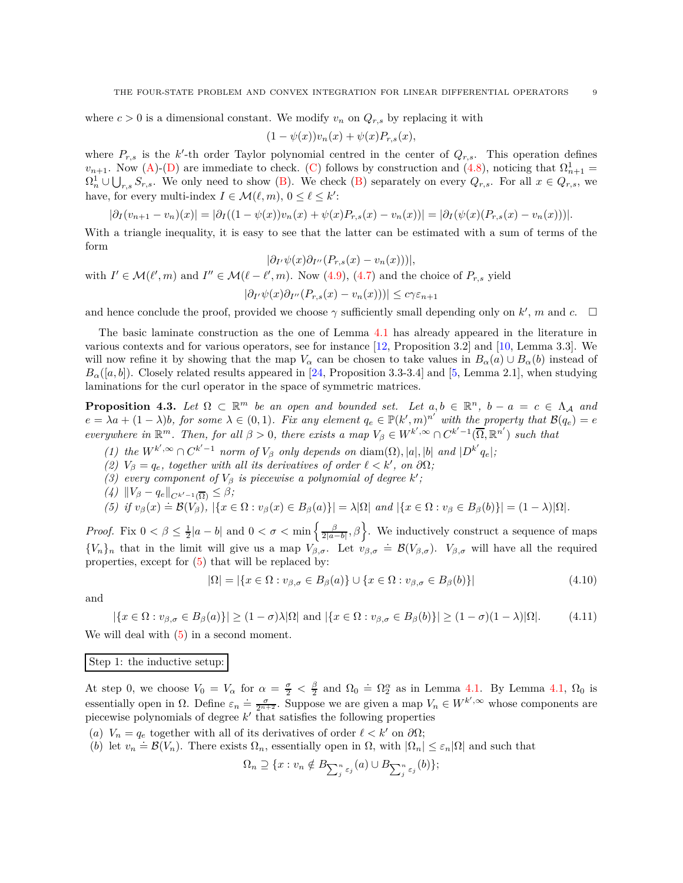where  $c > 0$  is a dimensional constant. We modify  $v_n$  on  $Q_{r,s}$  by replacing it with

$$
(1 - \psi(x))v_n(x) + \psi(x)P_{r,s}(x),
$$

where  $P_{r,s}$  is the  $k'$ -th order Taylor polynomial centred in the center of  $Q_{r,s}$ . This operation defines  $v_{n+1}$ . Now [\(A\)](#page-7-2)-[\(D\)](#page-7-3) are immediate to check. [\(C\)](#page-7-4) follows by construction and [\(4.8\)](#page-7-5), noticing that  $\Omega_{n+1}^1$  =  $\Omega_n^1 \cup \bigcup_{r,s} S_{r,s}$ . We only need to show [\(B\)](#page-7-1). We check (B) separately on every  $Q_{r,s}$ . For all  $x \in Q_{r,s}$ , we have, for every multi-index  $I \in \mathcal{M}(\ell, m)$ ,  $0 \leq \ell \leq k'$ :

$$
|\partial_I(v_{n+1}-v_n)(x)| = |\partial_I((1-\psi(x))v_n(x)+\psi(x)P_{r,s}(x)-v_n(x))| = |\partial_I(\psi(x)(P_{r,s}(x)-v_n(x)))|.
$$

With a triangle inequality, it is easy to see that the latter can be estimated with a sum of terms of the form

$$
|\partial_{I'}\psi(x)\partial_{I''}(P_{r,s}(x) - v_n(x))|,
$$
  
with  $I' \in \mathcal{M}(\ell', m)$  and  $I'' \in \mathcal{M}(\ell - \ell', m)$ . Now (4.9), (4.7) and the choice of  $P_{r,s}$  yield  

$$
|\partial_{I'}\psi(x)\partial_{I''}(P_{r,s}(x) - v_n(x))| \le c\gamma\varepsilon_{n+1}
$$

and hence conclude the proof, provided we choose  $\gamma$  sufficiently small depending only on  $k'$ , m and  $c$ .  $\Box$ 

The basic laminate construction as the one of Lemma [4.1](#page-6-9) has already appeared in the literature in various contexts and for various operators, see for instance [\[12,](#page-23-19) Proposition 3.2] and [\[10,](#page-23-18) Lemma 3.3]. We will now refine it by showing that the map  $V_\alpha$  can be chosen to take values in  $B_\alpha(a) \cup B_\alpha(b)$  instead of  $B_\alpha([a, b])$ . Closely related results appeared in [\[24,](#page-23-0) Proposition 3.3-3.4] and [\[5,](#page-23-23) Lemma 2.1], when studying laminations for the curl operator in the space of symmetric matrices.

<span id="page-8-0"></span>**Proposition 4.3.** Let  $\Omega \subset \mathbb{R}^m$  be an open and bounded set. Let  $a, b \in \mathbb{R}^n$ ,  $b - a = c \in \Lambda_\mathcal{A}$  and  $e = \lambda a + (1 - \lambda)b$ , for some  $\lambda \in (0, 1)$ . Fix any element  $q_e \in \mathbb{P}(k', m)^{n'}$  with the property that  $\mathcal{B}(q_e) = e$ *everywhere in*  $\mathbb{R}^m$ *. Then, for all*  $\beta > 0$ *, there exists a map*  $V_{\beta} \in W^{k', \infty} \cap C^{k'-1}(\overline{\Omega}, \mathbb{R}^{n'})$  *such that* 

- <span id="page-8-5"></span><span id="page-8-4"></span>(1) the  $W^{k',\infty} \cap C^{k'-1}$  norm of  $V_\beta$  only depends on  $\text{diam}(\Omega), |a|, |b|$  and  $|D^{k'}q_e|$ ;
- <span id="page-8-6"></span>*(2)*  $V_\beta = q_e$ , together with all its derivatives of order  $\ell < k'$ , on  $\partial\Omega$ ;
- <span id="page-8-7"></span>*(3) every component of*  $V_{\beta}$  *is piecewise a polynomial of degree*  $k'$ ;
- <span id="page-8-1"></span> $\left(\frac{4}{\beta}\right) \|V_{\beta} - q_e\|_{C^{k'-1}(\overline{\Omega})} \leq \beta;$ <br> *(5)* if  $v_{\alpha}$  *(x)* – **R**(*V*) Leg *S*

(5) if 
$$
v_{\beta}(x) \doteq \mathcal{B}(V_{\beta})
$$
,  $|\{x \in \Omega : v_{\beta}(x) \in B_{\beta}(a)\}| = \lambda |\Omega|$  and  $|\{x \in \Omega : v_{\beta} \in B_{\beta}(b)\}| = (1 - \lambda)|\Omega|$ .

*Proof.* Fix  $0 < \beta \leq \frac{1}{2}|a-b|$  and  $0 < \sigma < \min\left\{\frac{\beta}{2|a-b|}, \beta\right\}$ . We inductively construct a sequence of maps  ${V_n}_n$  that in the limit will give us a map  $V_{\beta,\sigma}$ . Let  $v_{\beta,\sigma} = \mathcal{B}(V_{\beta,\sigma})$ .  $V_{\beta,\sigma}$  will have all the required properties, except for [\(5\)](#page-8-1) that will be replaced by:

<span id="page-8-8"></span>
$$
|\Omega| = |\{x \in \Omega : v_{\beta,\sigma} \in B_{\beta}(a)\} \cup \{x \in \Omega : v_{\beta,\sigma} \in B_{\beta}(b)\}|
$$
\n(4.10)

and

<span id="page-8-9"></span>
$$
|\{x \in \Omega : v_{\beta,\sigma} \in B_{\beta}(a)\}| \ge (1-\sigma)\lambda |\Omega| \text{ and } |\{x \in \Omega : v_{\beta,\sigma} \in B_{\beta}(b)\}| \ge (1-\sigma)(1-\lambda)|\Omega|. \tag{4.11}
$$

We will deal with  $(5)$  in a second moment.

#### Step 1: the inductive setup:

At step 0, we choose  $V_0 = V_\alpha$  for  $\alpha = \frac{\sigma}{2} < \frac{\beta}{2}$  and  $\Omega_0 = \Omega_2^\alpha$  as in Lemma [4.1.](#page-6-9) By Lemma [4.1,](#page-6-9)  $\Omega_0$  is essentially open in  $\Omega$ . Define  $\varepsilon_n = \frac{\sigma}{2^{n+2}}$ . Suppose we are given a map  $V_n \in W^{k',\infty}$  whose components are piecewise polynomials of degree *k* ′ that satisfies the following properties

- <span id="page-8-3"></span><span id="page-8-2"></span>(*a*)  $V_n = q_e$  together with all of its derivatives of order  $\ell < k'$  on  $\partial\Omega$ ;
- (*b*) let  $v_n = \mathcal{B}(V_n)$ . There exists  $\Omega_n$ , essentially open in  $\Omega$ , with  $|\Omega_n| \leq \varepsilon_n |\Omega|$  and such that

$$
\Omega_n \supseteq \{x: v_n \notin B_{\sum_{j}^{n} \varepsilon_j}(a) \cup B_{\sum_{j}^{n} \varepsilon_j}(b)\};
$$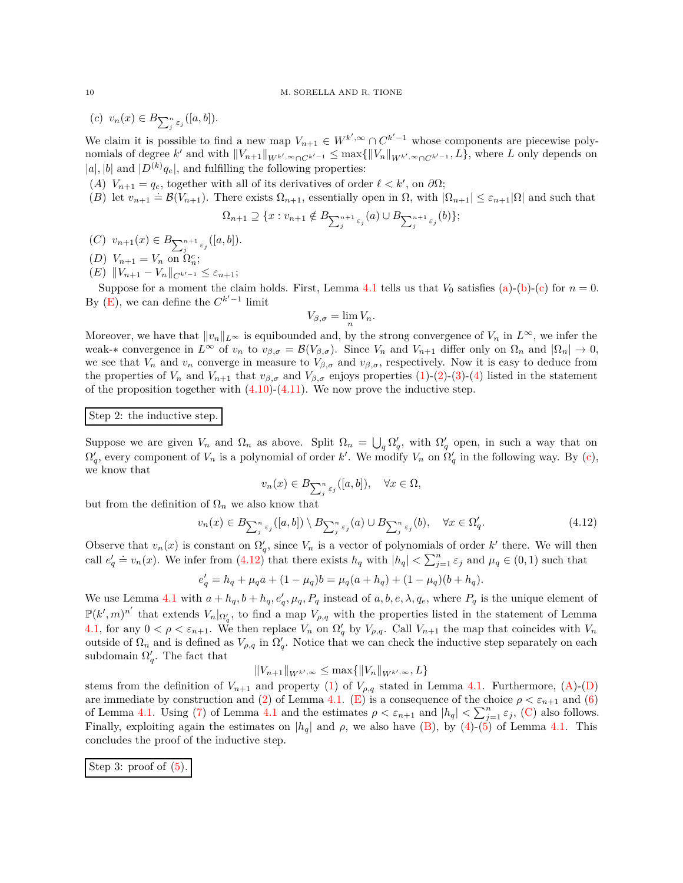$(c)$   $v_n(x) \in B_{\sum_{j}^{n} \varepsilon_j}([a, b]).$ 

We claim it is possible to find a new map  $V_{n+1} \in W^{k',\infty} \cap C^{k'-1}$  whose components are piecewise polynomials of degree  $k'$  and with  $||V_{n+1}||_{W^{k'}, \infty \cap C^{k'-1}} \le \max{||V_n||_{W^{k'}, \infty \cap C^{k'-1}}}, L$ , where *L* only depends on  $|a|$ ,  $|b|$  and  $|D^{(k)}q_e|$ , and fulfilling the following properties:

- <span id="page-9-6"></span><span id="page-9-3"></span>(*A*)  $V_{n+1} = q_e$ , together with all of its derivatives of order  $\ell < k'$ , on  $\partial\Omega$ ;
- (*B*) let  $v_{n+1} = g_e$ , esgens with an or no derivatives or order  $v \le n$ , on our,<br>
(*B*) let  $v_{n+1} = \mathcal{B}(V_{n+1})$ . There exists  $\Omega_{n+1}$ , essentially open in  $\Omega$ , with  $|\Omega_{n+1}| \le \varepsilon_{n+1} |\Omega|$  and such that

$$
\Omega_{n+1} \supseteq \{x: v_{n+1} \notin B_{\sum_{j=1}^{n+1} \varepsilon_j}(a) \cup B_{\sum_{j=1}^{n+1} \varepsilon_j}(b)\};
$$

- <span id="page-9-5"></span><span id="page-9-4"></span> $(C)$   $v_{n+1}(x) \in B_{\sum_{j=1}^{n+1} \varepsilon_j}([a, b]).$
- <span id="page-9-1"></span> $(D)$   $V_{n+1} = V_n$  on  $\Omega_n^c$ ;
- $(E)$   $||V_{n+1} V_n||_{C^{k'-1}} \leq \varepsilon_{n+1};$

Suppose for a moment the claim holds. First, Lemma [4.1](#page-6-9) tells us that  $V_0$  satisfies [\(a\)](#page-8-2)-[\(b\)](#page-8-3)-[\(c\)](#page-9-0) for  $n = 0$ . By  $(E)$ , we can define the  $C^{k'-1}$  limit

$$
V_{\beta,\sigma} = \lim_n V_n.
$$

Moreover, we have that  $||v_n||_{L^{\infty}}$  is equibounded and, by the strong convergence of  $V_n$  in  $L^{\infty}$ , we infer the weak- $*$  convergence in  $L^{\infty}$  of  $v_n$  to  $v_{\beta,\sigma} = \mathcal{B}(V_{\beta,\sigma})$ . Since  $V_n$  and  $V_{n+1}$  differ only on  $\Omega_n$  and  $|\Omega_n| \to 0$ , we see that  $V_n$  and  $v_n$  converge in measure to  $V_{\beta,\sigma}$  and  $v_{\beta,\sigma}$ , respectively. Now it is easy to deduce from the properties of  $V_n$  and  $V_{n+1}$  that  $v_{\beta,\sigma}$  and  $V_{\beta,\sigma}$  enjoys properties [\(1\)](#page-8-4)-[\(2\)](#page-8-5)-[\(3\)](#page-8-6)-[\(4\)](#page-8-7) listed in the statement of the proposition together with  $(4.10)-(4.11)$  $(4.10)-(4.11)$ . We now prove the inductive step.

## Step 2: the inductive step.

Suppose we are given  $V_n$  and  $\Omega_n$  as above. Split  $\Omega_n = \bigcup_q \Omega'_q$ , with  $\Omega'_q$  open, in such a way that on  $\Omega'_{q}$ , every component of  $V_n$  is a polynomial of order  $k'$ . We modify  $V_n$  on  $\Omega'_{q}$  in the following way. By [\(c\)](#page-9-0), we know that

$$
v_n(x) \in B_{\sum_{j}^{n} \varepsilon_j}([a, b]), \quad \forall x \in \Omega,
$$

but from the definition of  $\Omega_n$  we also know that

<span id="page-9-2"></span>
$$
v_n(x) \in B_{\sum_{j}^{n} \varepsilon_j}([a, b]) \setminus B_{\sum_{j}^{n} \varepsilon_j}(a) \cup B_{\sum_{j}^{n} \varepsilon_j}(b), \quad \forall x \in \Omega'_q.
$$
 (4.12)

Observe that  $v_n(x)$  is constant on  $\Omega'_q$ , since  $V_n$  is a vector of polynomials of order  $k'$  there. We will then call  $e'_q \doteq v_n(x)$ . We infer from [\(4.12\)](#page-9-2) that there exists  $h_q$  with  $|h_q| < \sum_{j=1}^n \varepsilon_j$  and  $\mu_q \in (0,1)$  such that

$$
e'_{q} = h_{q} + \mu_{q}a + (1 - \mu_{q})b = \mu_{q}(a + h_{q}) + (1 - \mu_{q})(b + h_{q}).
$$

We use Lemma [4.1](#page-6-9) with  $a + h_q, b + h_q, e'_q, \mu_q, P_q$  instead of  $a, b, e, \lambda, q_e$ , where  $P_q$  is the unique element of  $\mathbb{P}(k',m)^{n'}$  that extends  $V_n|_{\Omega'_a}$ , to find a map  $V_{\rho,q}$  with the properties listed in the statement of Lemma **[4.1,](#page-6-9)** for any  $0 < \rho < \varepsilon_{n+1}$ . We then replace  $V_n$  on  $\Omega'_q$  by  $V_{\rho,q}$ . Call  $V_{n+1}$  the map that coincides with  $V_n$ outside of  $\Omega_n$  and is defined as  $V_{\rho,q}$  in  $\Omega'_q$ . Notice that we can check the inductive step separately on each subdomain  $\Omega'_{q}$ . The fact that

 $||V_{n+1}||_{W^{k',\infty}} \leq \max\{||V_n||_{W^{k',\infty}}, L\}$ 

stems from the definition of  $V_{n+1}$  and property [\(1\)](#page-6-3) of  $V_{\rho,q}$  stated in Lemma [4.1.](#page-6-9) Furthermore, [\(A\)](#page-9-3)-[\(D\)](#page-9-4) are immediate by construction and [\(2\)](#page-6-0) of Lemma [4.1.](#page-6-9) [\(E\)](#page-9-1) is a consequence of the choice  $\rho < \varepsilon_{n+1}$  and [\(6\)](#page-6-4) of Lemma [4.1.](#page-6-9) Using [\(7\)](#page-6-7) of Lemma [4.1](#page-6-9) and the estimates  $\rho < \varepsilon_{n+1}$  and  $|h_q| < \sum_{j=1}^n \varepsilon_j$ , [\(C\)](#page-9-5) also follows. Finally, exploiting again the estimates on  $|h_q|$  and  $\rho$ , we also have [\(B\)](#page-9-6), by [\(4\)](#page-6-1)-[\(5\)](#page-6-2) of Lemma [4.1.](#page-6-9) This concludes the proof of the inductive step.

Step 3: proof of 
$$
(5)
$$
.

<span id="page-9-0"></span>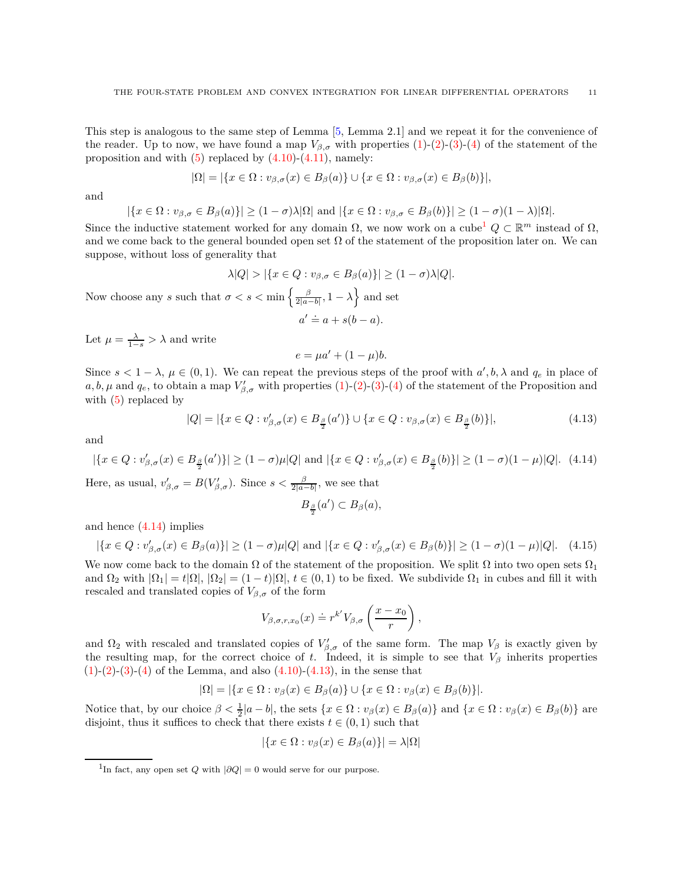This step is analogous to the same step of Lemma [\[5,](#page-23-23) Lemma 2.1] and we repeat it for the convenience of the reader. Up to now, we have found a map  $V_{\beta,\sigma}$  with properties [\(1\)](#page-8-4)-[\(2\)](#page-8-5)-[\(3\)](#page-8-6)-[\(4\)](#page-8-7) of the statement of the proposition and with  $(5)$  replaced by  $(4.10)-(4.11)$  $(4.10)-(4.11)$ , namely:

$$
|\Omega| = |\{x \in \Omega : v_{\beta,\sigma}(x) \in B_{\beta}(a)\} \cup \{x \in \Omega : v_{\beta,\sigma}(x) \in B_{\beta}(b)\}|,
$$

and

$$
|\{x \in \Omega : v_{\beta,\sigma} \in B_{\beta}(a)\}| \ge (1-\sigma)\lambda |\Omega|
$$
 and  $|\{x \in \Omega : v_{\beta,\sigma} \in B_{\beta}(b)\}| \ge (1-\sigma)(1-\lambda)|\Omega|$ .

Since the inductive statement worked for any domain  $\Omega$ , we now work on a cube<sup>[1](#page-10-0)</sup>  $Q \subset \mathbb{R}^m$  instead of  $\Omega$ , and we come back to the general bounded open set  $\Omega$  of the statement of the proposition later on. We can suppose, without loss of generality that

$$
\lambda|Q| > |\{x \in Q : v_{\beta,\sigma} \in B_{\beta}(a)\}| \ge (1 - \sigma)\lambda|Q|.
$$
 Now choose any s such that  $\sigma < s < \min\left\{\frac{\beta}{2|a-b|}, 1-\lambda\right\}$  and set  

$$
a' \doteq a + s(b-a).
$$

Let  $\mu = \frac{\lambda}{1-s} > \lambda$  and write

$$
e = \mu a' + (1 - \mu)b.
$$

Since  $s < 1 - \lambda$ ,  $\mu \in (0, 1)$ . We can repeat the previous steps of the proof with  $a', b, \lambda$  and  $q_e$  in place of  $a, b, \mu$  and  $q_e$ , to obtain a map  $V'_{\beta,\sigma}$  with properties [\(1\)](#page-8-4)-[\(2\)](#page-8-5)-[\(3\)](#page-8-6)-[\(4\)](#page-8-7) of the statement of the Proposition and with  $(5)$  replaced by

<span id="page-10-2"></span>
$$
|Q| = |\{x \in Q : v'_{\beta,\sigma}(x) \in B_{\frac{\beta}{2}}(a')\} \cup \{x \in Q : v_{\beta,\sigma}(x) \in B_{\frac{\beta}{2}}(b)\}|,
$$
\n(4.13)

and

<span id="page-10-1"></span>
$$
|\{x \in Q : v'_{\beta,\sigma}(x) \in B_{\frac{\beta}{2}}(a')\}| \ge (1-\sigma)\mu|Q| \text{ and } |\{x \in Q : v'_{\beta,\sigma}(x) \in B_{\frac{\beta}{2}}(b)\}| \ge (1-\sigma)(1-\mu)|Q|. \tag{4.14}
$$

Here, as usual,  $v'_{\beta,\sigma} = B(V'_{\beta,\sigma})$ . Since  $s < \frac{\beta}{2|a-b|}$ , we see that

$$
B_{\frac{\beta}{2}}(a') \subset B_{\beta}(a),
$$

and hence [\(4.14\)](#page-10-1) implies

$$
|\{x \in Q : v'_{\beta,\sigma}(x) \in B_{\beta}(a)\}| \ge (1-\sigma)\mu|Q| \text{ and } |\{x \in Q : v'_{\beta,\sigma}(x) \in B_{\beta}(b)\}| \ge (1-\sigma)(1-\mu)|Q|. \quad (4.15)
$$

We now come back to the domain  $\Omega$  of the statement of the proposition. We split  $\Omega$  into two open sets  $\Omega_1$ and  $\Omega_2$  with  $|\Omega_1| = t|\Omega|$ ,  $|\Omega_2| = (1-t)|\Omega|$ ,  $t \in (0,1)$  to be fixed. We subdivide  $\Omega_1$  in cubes and fill it with rescaled and translated copies of  $V_{\beta,\sigma}$  of the form

$$
V_{\beta,\sigma,r,x_0}(x) \doteq r^{k'} V_{\beta,\sigma}\left(\frac{x-x_0}{r}\right),\,
$$

and  $\Omega_2$  with rescaled and translated copies of  $V'_{\beta,\sigma}$  of the same form. The map  $V_\beta$  is exactly given by the resulting map, for the correct choice of *t*. Indeed, it is simple to see that  $V_\beta$  inherits properties  $(1)-(2)-(3)-(4)$  $(1)-(2)-(3)-(4)$  $(1)-(2)-(3)-(4)$  $(1)-(2)-(3)-(4)$  $(1)-(2)-(3)-(4)$  $(1)-(2)-(3)-(4)$  $(1)-(2)-(3)-(4)$  of the Lemma, and also  $(4.10)-(4.13)$  $(4.10)-(4.13)$  $(4.10)-(4.13)$ , in the sense that

$$
|\Omega| = |\{x \in \Omega : v_{\beta}(x) \in B_{\beta}(a)\} \cup \{x \in \Omega : v_{\beta}(x) \in B_{\beta}(b)\}|.
$$

Notice that, by our choice  $\beta < \frac{1}{2}|a-b|$ , the sets  $\{x \in \Omega : v_{\beta}(x) \in B_{\beta}(a)\}\$  and  $\{x \in \Omega : v_{\beta}(x) \in B_{\beta}(b)\}\$ are disjoint, thus it suffices to check that there exists  $t \in (0, 1)$  such that

$$
|\{x \in \Omega : v_{\beta}(x) \in B_{\beta}(a)\}| = \lambda |\Omega|
$$

<span id="page-10-0"></span><sup>&</sup>lt;sup>1</sup>In fact, any open set *Q* with  $|\partial Q| = 0$  would serve for our purpose.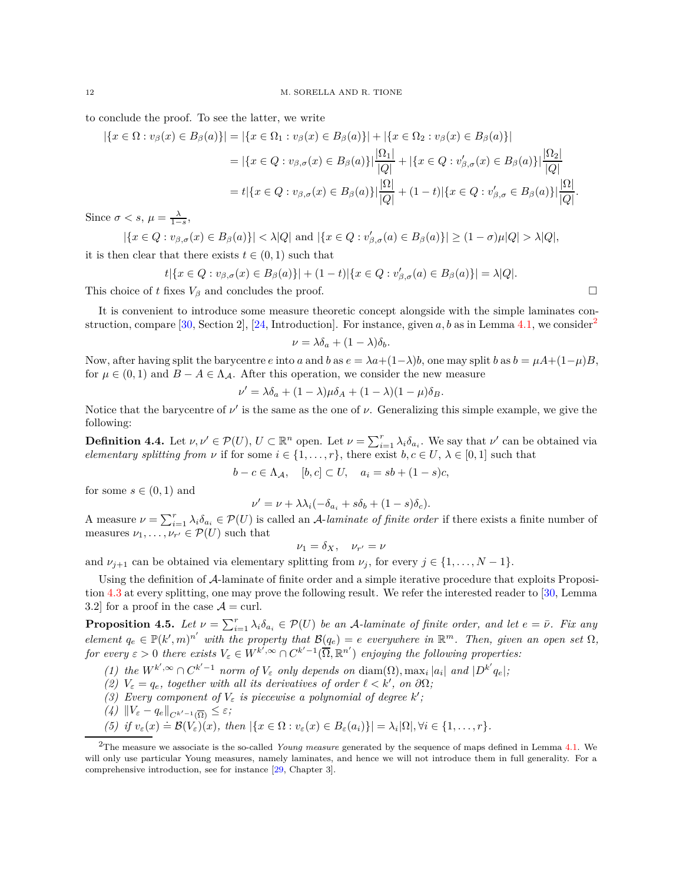to conclude the proof. To see the latter, we write

$$
|\{x \in \Omega : v_{\beta}(x) \in B_{\beta}(a)\}| = |\{x \in \Omega_1 : v_{\beta}(x) \in B_{\beta}(a)\}| + |\{x \in \Omega_2 : v_{\beta}(x) \in B_{\beta}(a)\}|
$$
  
=  $|\{x \in Q : v_{\beta,\sigma}(x) \in B_{\beta}(a)\}|\frac{|\Omega_1|}{|Q|} + |\{x \in Q : v'_{\beta,\sigma}(x) \in B_{\beta}(a)\}|\frac{|\Omega_2|}{|Q|}$   
=  $t|\{x \in Q : v_{\beta,\sigma}(x) \in B_{\beta}(a)\}|\frac{|\Omega|}{|Q|} + (1-t)|\{x \in Q : v'_{\beta,\sigma} \in B_{\beta}(a)\}|\frac{|\Omega|}{|Q|}.$ 

Since  $\sigma < s$ ,  $\mu = \frac{\lambda}{1-s}$ ,

 $|\{x \in Q : v_{\beta,\sigma}(x) \in B_{\beta}(a)\}| < \lambda |Q|$  and  $|\{x \in Q : v'_{\beta,\sigma}(a) \in B_{\beta}(a)\}| \ge (1-\sigma)\mu |Q| > \lambda |Q|$ , it is then clear that there exists  $t \in (0, 1)$  such that

$$
t | \{ x \in Q : v_{\beta,\sigma}(x) \in B_{\beta}(a) \} | + (1-t) | \{ x \in Q : v_{\beta,\sigma}'(a) \in B_{\beta}(a) \} | = \lambda |Q|.
$$

This choice of *t* fixes  $V_\beta$  and concludes the proof.

It is convenient to introduce some measure theoretic concept alongside with the simple laminates con-struction, compare [\[30,](#page-24-0) Section 2], [\[24,](#page-23-0) Introduction]. For instance, given  $a, b$  as in Lemma [4.1,](#page-6-9) we consider<sup>[2](#page-11-2)</sup>

$$
\nu = \lambda \delta_a + (1 - \lambda) \delta_b.
$$

Now, after having split the barycentre *e* into *a* and *b* as  $e = \lambda a + (1 - \lambda)b$ , one may split *b* as  $b = \mu A + (1 - \mu)B$ , for  $\mu \in (0,1)$  and  $B - A \in \Lambda_{\mathcal{A}}$ . After this operation, we consider the new measure

$$
\nu' = \lambda \delta_a + (1 - \lambda)\mu \delta_A + (1 - \lambda)(1 - \mu)\delta_B.
$$

Notice that the barycentre of  $\nu'$  is the same as the one of  $\nu$ . Generalizing this simple example, we give the following:

<span id="page-11-0"></span>**Definition 4.4.** Let  $\nu, \nu' \in \mathcal{P}(U), U \subset \mathbb{R}^n$  open. Let  $\nu = \sum_{i=1}^r \lambda_i \delta_{a_i}$ . We say that  $\nu'$  can be obtained via *elementary splitting from ν* if for some  $i \in \{1, \ldots, r\}$ , there exist  $b, c \in U, \lambda \in [0, 1]$  such that

$$
b - c \in \Lambda_{\mathcal{A}}, \quad [b, c] \subset U, \quad a_i = sb + (1 - s)c,
$$

for some  $s \in (0,1)$  and

$$
\nu' = \nu + \lambda \lambda_i (-\delta_{a_i} + s\delta_b + (1 - s)\delta_c).
$$

A measure  $\nu = \sum_{i=1}^r \lambda_i \delta_{a_i} \in \mathcal{P}(U)$  is called an A-laminate of finite order if there exists a finite number of measures  $\nu_1, \ldots, \nu_{r'} \in \mathcal{P}(U)$  such that

$$
\nu_1 = \delta_X, \quad \nu_{r'} = \nu
$$

and  $\nu_{j+1}$  can be obtained via elementary splitting from  $\nu_j$ , for every  $j \in \{1, ..., N-1\}$ .

Using the definition of A-laminate of finite order and a simple iterative procedure that exploits Proposition [4.3](#page-8-0) at every splitting, one may prove the following result. We refer the interested reader to [\[30,](#page-24-0) Lemma 3.2] for a proof in the case  $\mathcal{A} = \text{curl}$ .

<span id="page-11-1"></span>**Proposition 4.5.** Let  $\nu = \sum_{i=1}^r \lambda_i \delta_{a_i} \in \mathcal{P}(U)$  be an A-laminate of finite order, and let  $e = \bar{\nu}$ *. Fix any*  $e$ *lement*  $q_e \in \mathbb{P}(k', m)^{n'}$  with the property that  $\mathcal{B}(q_e) = e$  everywhere in  $\mathbb{R}^m$ *. Then, given an open set*  $\Omega$ *, for every*  $\varepsilon > 0$  *there exists*  $V_{\varepsilon} \in W^{k^{'},\infty} \cap C^{k'-1}(\overline{\Omega}, \mathbb{R}^{n'})$  *enjoying the following properties:* 

(1) the  $W^{k',\infty} \cap C^{k'-1}$  norm of  $V_{\varepsilon}$  only depends on  $\text{diam}(\Omega)$ ,  $\max_i |a_i|$  and  $|D^{k'}q_e|$ ;

- *(2)*  $V_{\varepsilon} = q_e$ , together with all its derivatives of order  $\ell < k'$ , on  $\partial\Omega$ ;
- *(3)* Every component of  $V_{\varepsilon}$  is piecewise a polynomial of degree  $k'$ ;
- $\left(\frac{4}{k}\right)$   $\left\|V_{\varepsilon} q_e\right\|_{C^{k'-1}(\overline{\Omega})} \leq \varepsilon;$ <br> *(E) i*f *x (m) P(U) (m) +*<sup>*1*</sup>

(5) if 
$$
v_{\varepsilon}(x) = \mathcal{B}(V_{\varepsilon})(x)
$$
, then  $|\{x \in \Omega : v_{\varepsilon}(x) \in B_{\varepsilon}(a_i)\}| = \lambda_i |\Omega|, \forall i \in \{1, ..., r\}.$ 

<span id="page-11-2"></span><sup>2</sup>The measure we associate is the so-called *Young measure* generated by the sequence of maps defined in Lemma [4.1.](#page-6-9) We will only use particular Young measures, namely laminates, and hence we will not introduce them in full generality. For a comprehensive introduction, see for instance [\[29,](#page-24-2) Chapter 3].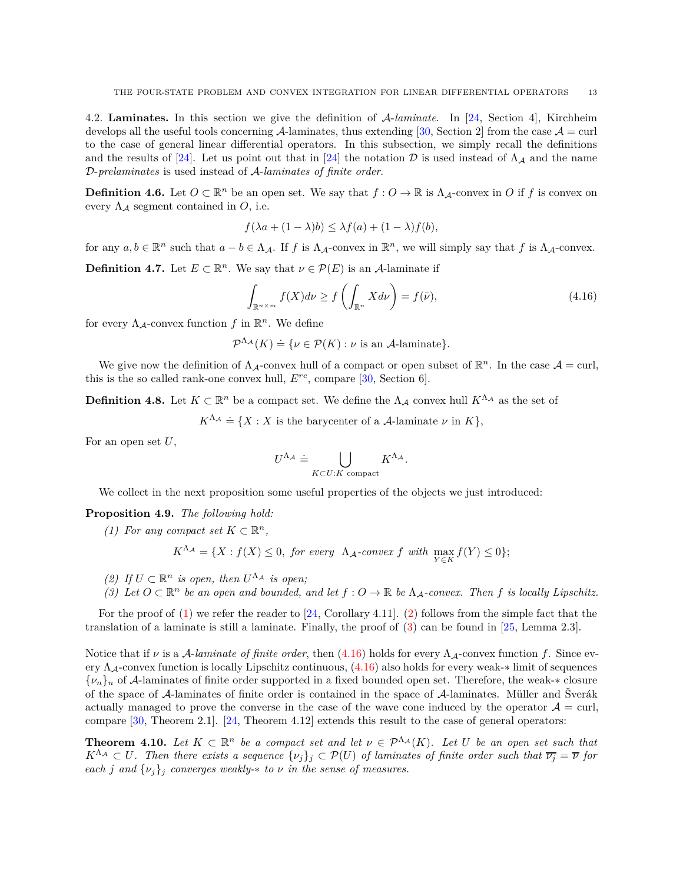<span id="page-12-0"></span>4.2. **Laminates.** In this section we give the definition of A-*laminate*. In [\[24,](#page-23-0) Section 4], Kirchheim develops all the useful tools concerning A-laminates, thus extending [\[30,](#page-24-0) Section 2] from the case  $A = \text{curl}$ to the case of general linear differential operators. In this subsection, we simply recall the definitions and the results of [\[24\]](#page-23-0). Let us point out that in [24] the notation D is used instead of  $\Lambda_A$  and the name D-*prelaminates* is used instead of A-*laminates of finite order*.

**Definition 4.6.** Let  $O \subset \mathbb{R}^n$  be an open set. We say that  $f: O \to \mathbb{R}$  is  $\Lambda_{\mathcal{A}}$ -convex in *O* if *f* is convex on every  $\Lambda_{\mathcal{A}}$  segment contained in  $O$ , i.e.

$$
f(\lambda a + (1 - \lambda)b) \leq \lambda f(a) + (1 - \lambda)f(b),
$$

for any  $a, b \in \mathbb{R}^n$  such that  $a - b \in \Lambda_{\mathcal{A}}$ . If *f* is  $\Lambda_{\mathcal{A}}$ -convex in  $\mathbb{R}^n$ , we will simply say that *f* is  $\Lambda_{\mathcal{A}}$ -convex.

**Definition 4.7.** Let  $E \subset \mathbb{R}^n$ . We say that  $\nu \in \mathcal{P}(E)$  is an A-laminate if

<span id="page-12-5"></span>
$$
\int_{\mathbb{R}^{n\times m}} f(X)d\nu \ge f\left(\int_{\mathbb{R}^{n}} Xd\nu\right) = f(\bar{\nu}),\tag{4.16}
$$

for every  $\Lambda_{\mathcal{A}}$ -convex function  $f$  in  $\mathbb{R}^n$ . We define

 $\mathcal{P}^{\Lambda_{\mathcal{A}}}(K) \doteq \{ \nu \in \mathcal{P}(K) : \nu \text{ is an } \mathcal{A}\text{-laminate}\}.$ 

We give now the definition of  $\Lambda_{\mathcal{A}}$ -convex hull of a compact or open subset of  $\mathbb{R}^n$ . In the case  $\mathcal{A} = \text{curl}$ , this is the so called rank-one convex hull,  $E^{rc}$ , compare [\[30,](#page-24-0) Section 6].

**Definition 4.8.** Let  $K \subset \mathbb{R}^n$  be a compact set. We define the  $\Lambda_{\mathcal{A}}$  convex hull  $K^{\Lambda_{\mathcal{A}}}$  as the set of

 $K^{\Lambda_A} \doteq \{ X : X \text{ is the barycenter of a } A\text{-laminate } \nu \text{ in } K \},$ 

For an open set *U*,

$$
U^{\Lambda_{\mathcal{A}}} \doteq \bigcup_{K \subset U: K \text{ compact}} K^{\Lambda_{\mathcal{A}}}.
$$

We collect in the next proposition some useful properties of the objects we just introduced:

### <span id="page-12-6"></span><span id="page-12-2"></span>**Proposition 4.9.** *The following hold:*

*(1)* For any compact set  $K \subset \mathbb{R}^n$ ,

 $K^{\Lambda_A} = \{X : f(X) \leq 0, \text{ for every } \Lambda_A\text{-convex } f \text{ with } \max_{Y \in K} f(Y) \leq 0\};$ 

- <span id="page-12-4"></span><span id="page-12-3"></span>*(2)* If  $U \subset \mathbb{R}^n$  *is open, then*  $U^{\Lambda_A}$  *is open;*
- *(3)* Let  $O \subset \mathbb{R}^n$  be an open and bounded, and let  $f: O \to \mathbb{R}$  be  $\Lambda_A$ -convex. Then  $f$  is locally Lipschitz.

For the proof of  $(1)$  we refer the reader to  $[24, Corollary 4.11]$ .  $(2)$  follows from the simple fact that the translation of a laminate is still a laminate. Finally, the proof of [\(3\)](#page-12-4) can be found in [\[25,](#page-23-24) Lemma 2.3].

Notice that if  $\nu$  is a A-laminate of finite order, then [\(4.16\)](#page-12-5) holds for every  $\Lambda_{\mathcal{A}}$ -convex function f. Since every  $\Lambda_A$ -convex function is locally Lipschitz continuous,  $(4.16)$  also holds for every weak-∗ limit of sequences {*νn*}*<sup>n</sup>* of A-laminates of finite order supported in a fixed bounded open set. Therefore, the weak-∗ closure of the space of A-laminates of finite order is contained in the space of A-laminates. Müller and Šverák actually managed to prove the converse in the case of the wave cone induced by the operator  $A = \text{curl}$ , compare [\[30,](#page-24-0) Theorem 2.1]. [\[24,](#page-23-0) Theorem 4.12] extends this result to the case of general operators:

<span id="page-12-1"></span>**Theorem 4.10.** Let  $K \subset \mathbb{R}^n$  be a compact set and let  $\nu \in \mathcal{P}^{\Lambda_A}(K)$ . Let U be an open set such that  $K^{\Lambda_A} \subset U$ . Then there exists a sequence  $\{\nu_j\}_j \subset \mathcal{P}(U)$  of laminates of finite order such that  $\overline{\nu_j} = \overline{\nu}$  for *each j* and  $\{v_j\}_j$  *converges weakly-* $*$  *to*  $\nu$  *in the sense of measures.*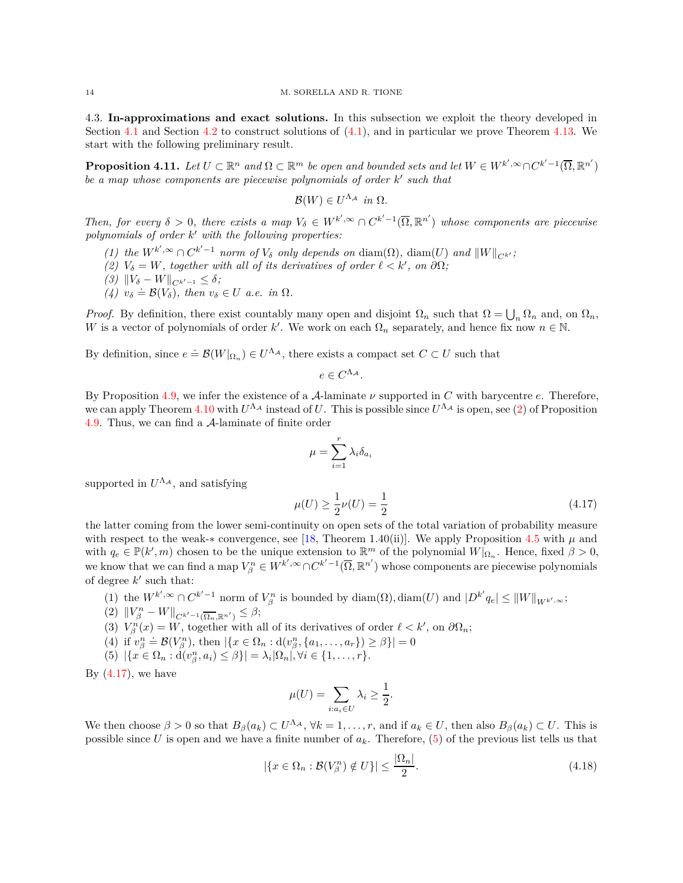<span id="page-13-0"></span>4.3. **In-approximations and exact solutions.** In this subsection we exploit the theory developed in Section [4.1](#page-5-0) and Section [4.2](#page-12-0) to construct solutions of [\(4.1\)](#page-4-5), and in particular we prove Theorem [4.13.](#page-14-1) We start with the following preliminary result.

<span id="page-13-1"></span>**Proposition 4.11.** Let  $U \subset \mathbb{R}^n$  and  $\Omega \subset \mathbb{R}^m$  be open and bounded sets and let  $W \in W^{k',\infty} \cap C^{k'-1}(\overline{\Omega}, \mathbb{R}^{n'})$ *be a map whose components are piecewise polynomials of order k* ′ *such that*

$$
\mathcal{B}(W) \in U^{\Lambda_{\mathcal{A}}} \text{ in } \Omega.
$$

*Then, for every*  $\delta > 0$ *, there exists a map*  $V_{\delta} \in W^{k', \infty} \cap C^{k'-1}(\overline{\Omega}, \mathbb{R}^{n'})$  whose components are piecewise *polynomials of order k* ′ *with the following properties:*

- *(1)* the  $W^{k',\infty} \cap C^{k'-1}$  norm of  $V_{\delta}$  only depends on  $\text{diam}(\Omega)$ ,  $\text{diam}(U)$  and  $||W||_{C^{k'}}$ ;
- *(2)*  $V_{\delta} = W$ , together with all of its derivatives of order  $\ell < k'$ , on  $\partial\Omega$ ;
- $(3)$   $||V_{\delta} W||_{C^{k'-1}} \leq \delta$ ;
- $(4)$   $v_{\delta} = \mathcal{B}(V_{\delta})$ , then  $v_{\delta} \in U$  *a.e.* in  $\Omega$ .

*Proof.* By definition, there exist countably many open and disjoint  $\Omega_n$  such that  $\Omega = \bigcup_n \Omega_n$  and, on  $\Omega_n$ , *W* is a vector of polynomials of order *k*'. We work on each  $\Omega_n$  separately, and hence fix now  $n \in \mathbb{N}$ .

By definition, since  $e \doteq \mathcal{B}(W|_{\Omega_n}) \in U^{\Lambda_{\mathcal{A}}}$ , there exists a compact set  $C \subset U$  such that

$$
e \in C^{\Lambda_{\mathcal{A}}}.
$$

By Proposition [4.9,](#page-12-6) we infer the existence of a A-laminate *ν* supported in *C* with barycentre *e*. Therefore, we can apply Theorem [4.10](#page-12-1) with  $U^{\Lambda_A}$  instead of *U*. This is possible since  $U^{\Lambda_A}$  is open, see [\(2\)](#page-12-3) of Proposition [4.9.](#page-12-6) Thus, we can find a A-laminate of finite order

$$
\mu = \sum_{i=1}^r \lambda_i \delta_{a_i}
$$

supported in  $U^{\Lambda_{\mathcal{A}}}$ , and satisfying

<span id="page-13-2"></span>
$$
\mu(U) \ge \frac{1}{2}\nu(U) = \frac{1}{2} \tag{4.17}
$$

the latter coming from the lower semi-continuity on open sets of the total variation of probability measure with respect to the weak-∗ convergence, see [\[18,](#page-23-25) Theorem 1.40(ii)]. We apply Proposition [4.5](#page-11-1) with  $\mu$  and with  $q_e \in \mathbb{P}(k', m)$  chosen to be the unique extension to  $\mathbb{R}^m$  of the polynomial  $W|_{\Omega_n}$ . Hence, fixed  $\beta > 0$ , we know that we can find a map  $V_{\beta}^n \in W^{k',\infty} \cap C^{k'-1}(\overline{\Omega}, \mathbb{R}^{n'})$  whose components are piecewise polynomials of degree  $k'$  such that:

- (1) the  $W^{k',\infty} \cap C^{k'-1}$  norm of  $V_{\beta}^n$  is bounded by diam( $\Omega$ ), diam( $U$ ) and  $|D^{k'}q_e| \le ||W||_{W^{k',\infty}}$ ;
- $(2)$   $||V_{\beta}^{n} W||_{C^{k'-1}(\overline{\Omega_n}, \mathbb{R}^{n'})} \leq \beta;$
- (3)  $V_{\beta}^n(x) = W$ , together with all of its derivatives of order  $\ell < k'$ , on  $\partial\Omega_n$ ;
- $(4)$  if  $v_{\beta}^{n} \doteq \mathcal{B}(V_{\beta}^{n})$ , then  $|\{x \in \Omega_{n} : d(v_{\beta}^{n}, \{a_1, \ldots, a_r\}) \geq \beta\}| = 0$
- <span id="page-13-3"></span> $(5) \ |\{x \in \Omega_n : d(v_\beta^n, a_i) \leq \beta\}| = \lambda_i |\Omega_n|, \forall i \in \{1, ..., r\}.$

By  $(4.17)$ , we have

$$
\mu(U) = \sum_{i:a_i \in U} \lambda_i \ge \frac{1}{2}.
$$

We then choose  $\beta > 0$  so that  $B_{\beta}(a_k) \subset U^{\Lambda_A}$ ,  $\forall k = 1, \ldots, r$ , and if  $a_k \in U$ , then also  $B_{\beta}(a_k) \subset U$ . This is possible since *U* is open and we have a finite number of *ak*. Therefore, [\(5\)](#page-13-3) of the previous list tells us that

$$
|\{x \in \Omega_n : \mathcal{B}(V_\beta^n) \notin U\}| \le \frac{|\Omega_n|}{2}.\tag{4.18}
$$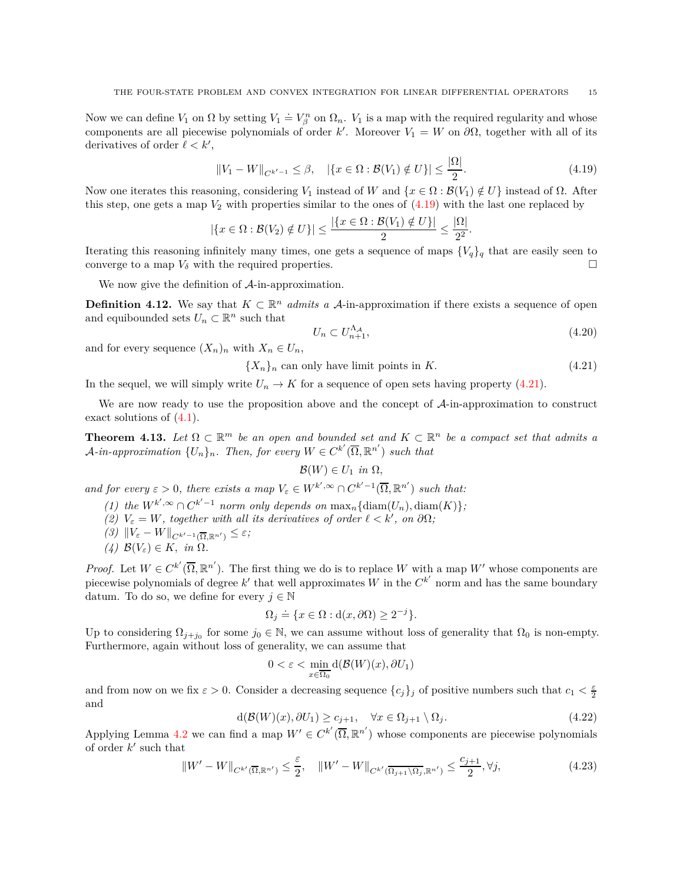Now we can define  $V_1$  on  $\Omega$  by setting  $V_1 \doteq V_{\beta}^n$  on  $\Omega_n$ .  $V_1$  is a map with the required regularity and whose components are all piecewise polynomials of order *k'*. Moreover  $V_1 = W$  on  $\partial\Omega$ , together with all of its derivatives of order  $\ell < k'$ ,

<span id="page-14-2"></span>
$$
||V_1 - W||_{C^{k'-1}} \le \beta, \quad |\{x \in \Omega : \mathcal{B}(V_1) \notin U\}| \le \frac{|\Omega|}{2}.
$$
\n(4.19)

Now one iterates this reasoning, considering *V*<sub>1</sub> instead of *W* and  $\{x \in \Omega : \mathcal{B}(V_1) \notin U\}$  instead of Ω. After this step, one gets a map  $V_2$  with properties similar to the ones of  $(4.19)$  with the last one replaced by

$$
|\{x \in \Omega : \mathcal{B}(V_2) \notin U\}| \leq \frac{|\{x \in \Omega : \mathcal{B}(V_1) \notin U\}|}{2} \leq \frac{|\Omega|}{2^2}.
$$

Iterating this reasoning infinitely many times, one gets a sequence of maps  ${V_q}_q$  that are easily seen to converge to a map  $V_\delta$  with the required properties.

We now give the definition of  $\mathcal{A}$ -in-approximation.

<span id="page-14-0"></span>**Definition 4.12.** We say that  $K \subset \mathbb{R}^n$  *admits a* A-in-approximation if there exists a sequence of open and equibounded sets  $U_n \subset \mathbb{R}^n$  such that

$$
U_n \subset U_{n+1}^{\Lambda_A},\tag{4.20}
$$

and for every sequence  $(X_n)_n$  with  $X_n \in U_n$ ,

<span id="page-14-3"></span> ${X_n}_n$  can only have limit points in *K*. (4.21)

In the sequel, we will simply write  $U_n \to K$  for a sequence of open sets having property [\(4.21\)](#page-14-3).

We are now ready to use the proposition above and the concept of  $\mathcal{A}$ -in-approximation to construct exact solutions of  $(4.1)$ .

<span id="page-14-1"></span>**Theorem 4.13.** Let  $\Omega \subset \mathbb{R}^m$  be an open and bounded set and  $K \subset \mathbb{R}^n$  be a compact set that admits a  $\mathcal{A}-in\text{-}approximation \{U_n\}_n$ . Then, for every  $W \in C^{k'}(\overline{\Omega}, \mathbb{R}^{n'})$  such that

 $\mathcal{B}(W) \in U_1$  *in*  $\Omega$ *,* 

<span id="page-14-6"></span>*and for every*  $\varepsilon > 0$ , there exists a map  $V_{\varepsilon} \in W^{k', \infty} \cap C^{k'-1}(\overline{\Omega}, \mathbb{R}^{n'})$  such that:

- <span id="page-14-7"></span>(1) the  $W^{k',\infty} \cap C^{k'-1}$  norm only depends on  $\max_n {\{\text{diam}(U_n),\text{diam}(K)\}};$
- <span id="page-14-9"></span>*(2)*  $V_{\varepsilon} = W$ , together with all its derivatives of order  $\ell < k'$ , on  $\partial\Omega$ ;
- <span id="page-14-8"></span> $(3)$   $||V_{\varepsilon} - W||_{C^{k'-1}(\overline{\Omega}, \mathbb{R}^{n'})} \leq \varepsilon$ ;
- *(4)*  $B(V_ε) ∈ K$ *, in* Ω*.*

*Proof.* Let  $W \in C^{k'}(\overline{\Omega}, \mathbb{R}^{n'})$ . The first thing we do is to replace W with a map W' whose components are piecewise polynomials of degree  $k'$  that well approximates  $W$  in the  $C^{k'}$  norm and has the same boundary datum. To do so, we define for every  $j \in \mathbb{N}$ 

$$
\Omega_j \doteq \{ x \in \Omega : d(x, \partial \Omega) \ge 2^{-j} \}.
$$

Up to considering  $\Omega_{j+j_0}$  for some  $j_0 \in \mathbb{N}$ , we can assume without loss of generality that  $\Omega_0$  is non-empty. Furthermore, again without loss of generality, we can assume that

$$
0<\varepsilon<\min_{x\in\overline{\Omega_0}}\textup{d}(\mathcal{B}(W)(x),\partial U_1)
$$

and from now on we fix  $\varepsilon > 0$ . Consider a decreasing sequence  $\{c_j\}_j$  of positive numbers such that  $c_1 < \frac{\varepsilon}{2}$ and

<span id="page-14-4"></span>
$$
d(\mathcal{B}(W)(x), \partial U_1) \ge c_{j+1}, \quad \forall x \in \Omega_{j+1} \setminus \Omega_j.
$$
\n(4.22)

Applying Lemma [4.2](#page-7-0) we can find a map  $W' \in C^{k'}(\overline{\Omega}, \mathbb{R}^{n'})$  whose components are piecewise polynomials of order  $k'$  such that

<span id="page-14-5"></span>
$$
||W'-W||_{C^{k'}(\overline{\Omega}, \mathbb{R}^{n'})} \le \frac{\varepsilon}{2}, \quad ||W'-W||_{C^{k'}(\overline{\Omega}_{j+1}\setminus\overline{\Omega}_j, \mathbb{R}^{n'})} \le \frac{c_{j+1}}{2}, \forall j,
$$
\n(4.23)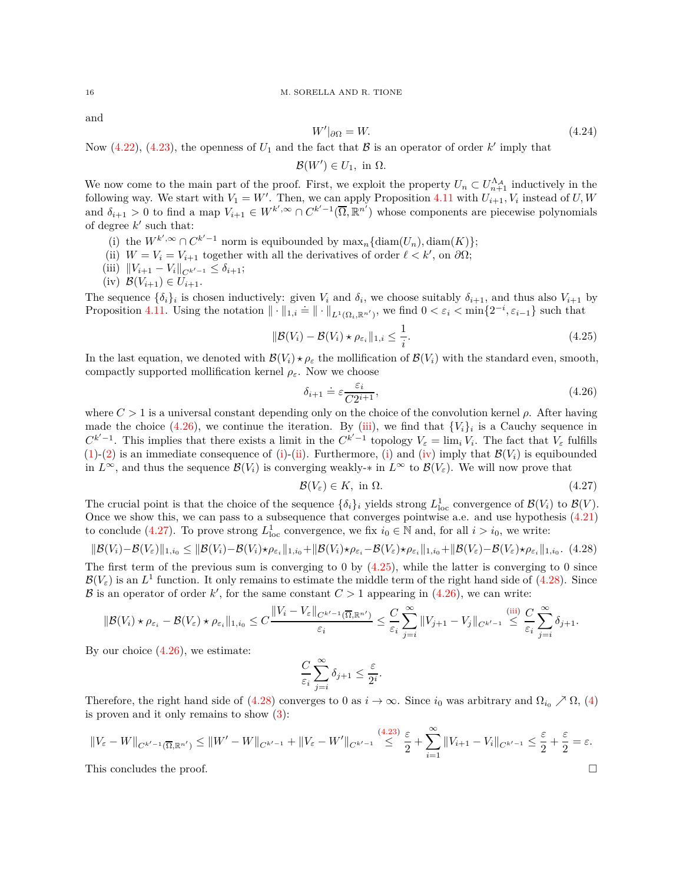and

$$
W'|_{\partial\Omega} = W.\tag{4.24}
$$

Now  $(4.22)$ ,  $(4.23)$ , the openness of  $U_1$  and the fact that  $\beta$  is an operator of order  $k'$  imply that

 $\mathcal{B}(W') \in U_1$ , in  $\Omega$ *.* 

We now come to the main part of the proof. First, we exploit the property  $U_n \subset U_{n+1}^{\Lambda_{\mathcal{A}}}$  inductively in the following way. We start with  $V_1 = W'$ . Then, we can apply Proposition [4.11](#page-13-1) with  $U_{i+1}, V_i$  instead of  $U, W$ and  $\delta_{i+1} > 0$  to find a map  $V_{i+1} \in W^{k',\infty} \cap C^{k'-1}(\overline{\Omega}, \mathbb{R}^{n'})$  whose components are piecewise polynomials of degree  $k'$  such that:

- <span id="page-15-3"></span><span id="page-15-2"></span>(i) the  $W^{k',\infty} \cap C^{k'-1}$  norm is equibounded by  $\max_n \{ \text{diam}(U_n), \text{diam}(K) \};$
- <span id="page-15-1"></span>(ii)  $W = V_i = V_{i+1}$  together with all the derivatives of order  $\ell < k'$ , on  $\partial\Omega$ ;
- <span id="page-15-4"></span> $(iii)$   $||V_{i+1} - V_i||_{C^{k'-1}} \leq \delta_{i+1};$
- $(iv)$   $\mathcal{B}(V_{i+1}) \in U_{i+1}.$

The sequence  $\{\delta_i\}_i$  is chosen inductively: given  $V_i$  and  $\delta_i$ , we choose suitably  $\delta_{i+1}$ , and thus also  $V_{i+1}$  by Proposition [4.11.](#page-13-1) Using the notation  $\|\cdot\|_{1,i} = \|\cdot\|_{L^1(\Omega_i,\mathbb{R}^{n'})}$ , we find  $0 < \varepsilon_i < \min\{2^{-i}, \varepsilon_{i-1}\}$  such that

<span id="page-15-6"></span>
$$
\|\mathcal{B}(V_i) - \mathcal{B}(V_i) \star \rho_{\varepsilon_i}\|_{1,i} \le \frac{1}{i}.\tag{4.25}
$$

In the last equation, we denoted with  $\mathcal{B}(V_i) \star \rho_{\varepsilon}$  the mollification of  $\mathcal{B}(V_i)$  with the standard even, smooth, compactly supported mollification kernel  $\rho_{\varepsilon}$ . Now we choose

<span id="page-15-0"></span>
$$
\delta_{i+1} \doteq \varepsilon \frac{\varepsilon_i}{C2^{i+1}},\tag{4.26}
$$

where  $C > 1$  is a universal constant depending only on the choice of the convolution kernel  $\rho$ . After having made the choice  $(4.26)$ , we continue the iteration. By [\(iii\)](#page-15-1), we find that  ${V_i}_i$  is a Cauchy sequence in  $C^{k'-1}$ . This implies that there exists a limit in the  $C^{k'-1}$  topology  $V_{\varepsilon} = \lim_i V_i$ . The fact that  $V_{\varepsilon}$  fulfills [\(1\)](#page-14-6)-[\(2\)](#page-14-7) is an immediate consequence of [\(i\)](#page-15-2)-[\(ii\)](#page-15-3). Furthermore, (i) and [\(iv\)](#page-15-4) imply that  $\mathcal{B}(V_i)$  is equibounded in  $L^{\infty}$ , and thus the sequence  $\mathcal{B}(V_i)$  is converging weakly- $*$  in  $L^{\infty}$  to  $\mathcal{B}(V_{\varepsilon})$ . We will now prove that

<span id="page-15-5"></span>
$$
\mathcal{B}(V_{\varepsilon}) \in K, \text{ in } \Omega. \tag{4.27}
$$

The crucial point is that the choice of the sequence  $\{\delta_i\}_i$  yields strong  $L^1_{loc}$  convergence of  $\mathcal{B}(V_i)$  to  $\mathcal{B}(V)$ . Once we show this, we can pass to a subsequence that converges pointwise a.e. and use hypothesis [\(4.21\)](#page-14-3) to conclude [\(4.27\)](#page-15-5). To prove strong  $L^1_{loc}$  convergence, we fix  $i_0 \in \mathbb{N}$  and, for all  $i > i_0$ , we write:

<span id="page-15-7"></span>
$$
\|\mathcal{B}(V_i) - \mathcal{B}(V_{\varepsilon})\|_{1,i_0} \le \|\mathcal{B}(V_i) - \mathcal{B}(V_i)\star\rho_{\varepsilon_i}\|_{1,i_0} + \|\mathcal{B}(V_i)\star\rho_{\varepsilon_i} - \mathcal{B}(V_{\varepsilon})\star\rho_{\varepsilon_i}\|_{1,i_0} + \|\mathcal{B}(V_{\varepsilon}) - \mathcal{B}(V_{\varepsilon})\star\rho_{\varepsilon_i}\|_{1,i_0}.
$$
 (4.28)

The first term of the previous sum is converging to 0 by [\(4.25\)](#page-15-6), while the latter is converging to 0 since  $\mathcal{B}(V_{\varepsilon})$  is an  $L^1$  function. It only remains to estimate the middle term of the right hand side of [\(4.28\)](#page-15-7). Since B is an operator of order k', for the same constant  $C > 1$  appearing in  $(4.26)$ , we can write:

$$
\|\mathcal{B}(V_i)\star\rho_{\varepsilon_i}-\mathcal{B}(V_{\varepsilon})\star\rho_{\varepsilon_i}\|_{1,i_0}\leq C\frac{\|V_i-V_{\varepsilon}\|_{C^{k'-1}(\overline{\Omega},\mathbb{R}^{n'})}}{\varepsilon_i}\leq \frac{C}{\varepsilon_i}\sum_{j=i}^{\infty}\|V_{j+1}-V_j\|_{C^{k'-1}}\leq \frac{C}{\varepsilon_i}\sum_{j=i}^{\infty}\delta_{j+1}.
$$

By our choice  $(4.26)$ , we estimate:

$$
\frac{C}{\varepsilon_i} \sum_{j=i}^{\infty} \delta_{j+1} \leq \frac{\varepsilon}{2^i}
$$

*.*

Therefore, the right hand side of [\(4.28\)](#page-15-7) converges to 0 as  $i \to \infty$ . Since  $i_0$  was arbitrary and  $\Omega_{i_0} \nearrow \Omega$ , [\(4\)](#page-14-8) is proven and it only remains to show  $(3)$ :

$$
||V_{\varepsilon} - W||_{C^{k'-1}(\overline{\Omega}, \mathbb{R}^{n'})} \le ||W' - W||_{C^{k'-1}} + ||V_{\varepsilon} - W'||_{C^{k'-1}} \overset{(4.23)}{\leq} \frac{\varepsilon}{2} + \sum_{i=1}^{\infty} ||V_{i+1} - V_i||_{C^{k'-1}} \leq \frac{\varepsilon}{2} + \frac{\varepsilon}{2} = \varepsilon.
$$

This concludes the proof.

$$
\Box
$$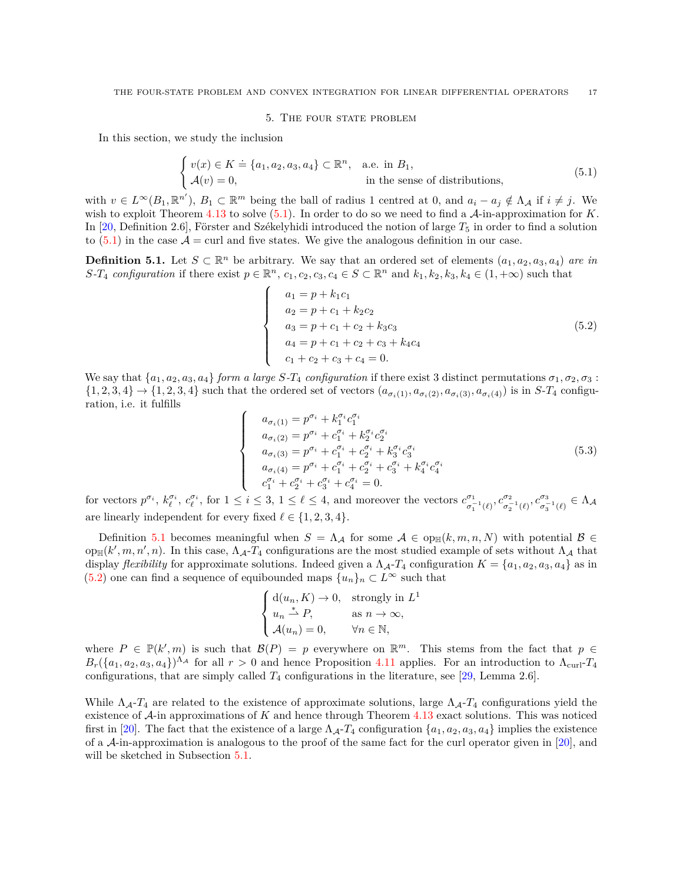#### 5. THE FOUR STATE PROBLEM

<span id="page-16-1"></span>In this section, we study the inclusion

<span id="page-16-2"></span>
$$
\begin{cases}\nv(x) \in K \doteq \{a_1, a_2, a_3, a_4\} \subset \mathbb{R}^n, & \text{a.e. in } B_1, \\
\mathcal{A}(v) = 0, & \text{in the sense of distributions,} \n\end{cases}
$$
\n(5.1)

with  $v \in L^{\infty}(B_1, \mathbb{R}^{n'})$ ,  $B_1 \subset \mathbb{R}^m$  being the ball of radius 1 centred at 0, and  $a_i - a_j \notin \Lambda_{\mathcal{A}}$  if  $i \neq j$ . We wish to exploit Theorem [4.13](#page-14-1) to solve [\(5.1\)](#page-16-2). In order to do so we need to find a A-in-approximation for *K*. In [\[20,](#page-23-1) Definition 2.6], Förster and Székelyhidi introduced the notion of large  $T_5$  in order to find a solution to  $(5.1)$  in the case  $\mathcal{A} = \text{curl}$  and five states. We give the analogous definition in our case.

<span id="page-16-0"></span>**Definition 5.1.** Let  $S \subset \mathbb{R}^n$  be arbitrary. We say that an ordered set of elements  $(a_1, a_2, a_3, a_4)$  *are in* S-T<sub>4</sub> configuration if there exist  $p \in \mathbb{R}^n$ ,  $c_1, c_2, c_3, c_4 \in S \subset \mathbb{R}^n$  and  $k_1, k_2, k_3, k_4 \in (1, +\infty)$  such that

<span id="page-16-3"></span>
$$
\begin{cases}\n a_1 = p + k_1 c_1 \\
 a_2 = p + c_1 + k_2 c_2 \\
 a_3 = p + c_1 + c_2 + k_3 c_3 \\
 a_4 = p + c_1 + c_2 + c_3 + k_4 c_4 \\
 c_1 + c_2 + c_3 + c_4 = 0.\n\end{cases}
$$
\n(5.2)

We say that  $\{a_1, a_2, a_3, a_4\}$  *form a large*  $S$ *-T*<sub>4</sub> *configuration* if there exist 3 distinct permutations  $\sigma_1, \sigma_2, \sigma_3$ :  $\{1,2,3,4\} \rightarrow \{1,2,3,4\}$  such that the ordered set of vectors  $(a_{\sigma_i(1)}, a_{\sigma_i(2)}, a_{\sigma_i(3)}, a_{\sigma_i(4)})$  is in S-T<sub>4</sub> configuration, i.e. it fulfills  $\sqrt{ }$ 

<span id="page-16-4"></span> $\int$ 

$$
\begin{cases}\n a_{\sigma_i(1)} = p^{\sigma_i} + k_1^{\sigma_i} c_1^{\sigma_i} \\
 a_{\sigma_i(2)} = p^{\sigma_i} + c_1^{\sigma_i} + k_2^{\sigma_i} c_2^{\sigma_i} \\
 a_{\sigma_i(3)} = p^{\sigma_i} + c_1^{\sigma_i} + c_2^{\sigma_i} + k_3^{\sigma_i} c_3^{\sigma_i} \\
 a_{\sigma_i(4)} = p^{\sigma_i} + c_1^{\sigma_i} + c_2^{\sigma_i} + c_3^{\sigma_i} + k_4^{\sigma_i} c_4^{\sigma_i} \\
 c_1^{\sigma_i} + c_2^{\sigma_i} + c_3^{\sigma_i} + c_4^{\sigma_i} = 0.\n\end{cases} \tag{5.3}
$$

for vectors  $p^{\sigma_i}$ ,  $k_{\ell}^{\sigma_i}$ ,  $c_{\ell}^{\sigma_i}$ , for  $1 \leq i \leq 3$ ,  $1 \leq \ell \leq 4$ , and moreover the vectors  $c_{\sigma_i}^{\sigma_1}$ *σ*<sub>1</sub><sup>*τ*</sup></sup>(*ℓ*)</sub>, *c*<sup>*σ*<sub>3</sub><sub>*σ*<sub>3</sub><sup>*τ*</sup></sup>(*ℓ*) ∈ Λ*A*</sup></sub> are linearly independent for every fixed  $\ell \in \{1, 2, 3, 4\}.$ 

Definition [5.1](#page-16-0) becomes meaningful when  $S = \Lambda_{\mathcal{A}}$  for some  $\mathcal{A} \in \text{op}_{\mathbb{H}}(k,m,n,N)$  with potential  $\mathcal{B} \in$  $\text{op}_{\mathbb{H}}(k', m, n', n)$ . In this case,  $\Lambda_{\mathcal{A}}$ - $T_4$  configurations are the most studied example of sets without  $\Lambda_{\mathcal{A}}$  that display *flexibility* for approximate solutions. Indeed given a  $\Lambda_{\mathcal{A}}$ - $T_4$  configuration  $K = \{a_1, a_2, a_3, a_4\}$  as in [\(5.2\)](#page-16-3) one can find a sequence of equibounded maps  $\{u_n\}_n \subset L^\infty$  such that

$$
\begin{cases} d(u_n, K) \to 0, & \text{strongly in } L^1 \\ u_n \stackrel{*}{\rightharpoonup} P, & \text{as } n \to \infty, \\ \mathcal{A}(u_n) = 0, & \forall n \in \mathbb{N}, \end{cases}
$$

where  $P \in \mathbb{P}(k', m)$  is such that  $\mathcal{B}(P) = p$  everywhere on  $\mathbb{R}^m$ . This stems from the fact that  $p \in \mathbb{R}$  $B_r({a_1, a_2, a_3, a_4})^{\Lambda_A}$  for all  $r > 0$  and hence Proposition [4.11](#page-13-1) applies. For an introduction to  $\Lambda_{\text{curl}}$ -*T*<sub>4</sub> configurations, that are simply called  $T_4$  configurations in the literature, see [\[29,](#page-24-2) Lemma 2.6].

While  $\Lambda_{\mathcal{A}}$ - $T_4$  are related to the existence of approximate solutions, large  $\Lambda_{\mathcal{A}}$ - $T_4$  configurations yield the existence of A-in approximations of *K* and hence through Theorem [4.13](#page-14-1) exact solutions. This was noticed first in [\[20\]](#page-23-1). The fact that the existence of a large  $\Lambda_{\mathcal{A}}$ - $T_4$  configuration  $\{a_1, a_2, a_3, a_4\}$  implies the existence of a A-in-approximation is analogous to the proof of the same fact for the curl operator given in [\[20\]](#page-23-1), and will be sketched in Subsection [5.1.](#page-20-0)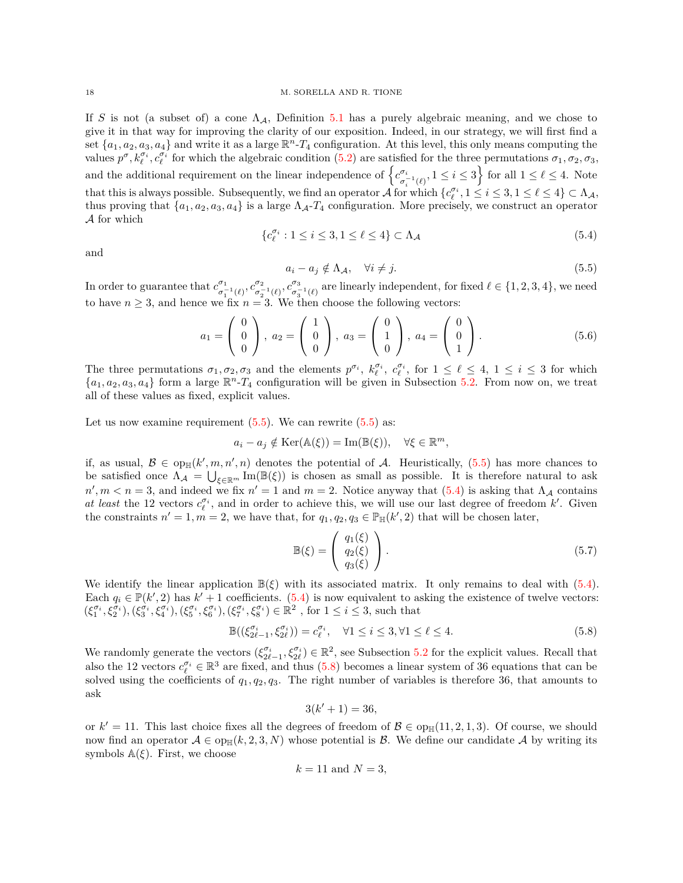If *S* is not (a subset of) a cone  $\Lambda_A$ , Definition [5.1](#page-16-0) has a purely algebraic meaning, and we chose to give it in that way for improving the clarity of our exposition. Indeed, in our strategy, we will first find a set  $\{a_1, a_2, a_3, a_4\}$  and write it as a large  $\mathbb{R}^n$ -*T*<sub>4</sub> configuration. At this level, this only means computing the values  $p^{\sigma}, k_{\ell}^{\sigma_i}, c_{\ell}^{\sigma_i}$  for which the algebraic condition [\(5.2\)](#page-16-3) are satisfied for the three permutations  $\sigma_1, \sigma_2, \sigma_3$ , and the additional requirement on the linear independence of  $\{c_j^{\sigma_i}$  $\sigma_i^{\sigma_i}(\ell)$ ,  $1 \leq i \leq 3$  for all  $1 \leq \ell \leq 4$ . Note that this is always possible. Subsequently, we find an operator  $\mathcal{A}$  for which  $\{c_{\ell}^{\sigma_i}, 1 \leq i \leq 3, 1 \leq \ell \leq 4\} \subset \Lambda_{\mathcal{A}},$ thus proving that  $\{a_1, a_2, a_3, a_4\}$  is a large  $\Lambda_{\mathcal{A}}$ - $T_4$  configuration. More precisely, we construct an operator A for which

and

<span id="page-17-1"></span>
$$
\{c_{\ell}^{\sigma_i} : 1 \le i \le 3, 1 \le \ell \le 4\} \subset \Lambda_{\mathcal{A}} \tag{5.4}
$$

<span id="page-17-0"></span>
$$
a_i - a_j \notin \Lambda_{\mathcal{A}}, \quad \forall i \neq j. \tag{5.5}
$$

In order to guarantee that  $c^{\sigma_1}_{\sigma_-}$  $\sigma_1^{\sigma_1}(\ell)$ ,  $c_{\sigma_2}^{\sigma_2}$  $(\sigma_2^{-1}(\ell), c_{\sigma_3}^{\sigma_3})$  $\sigma_{3}^{-1}(\ell)$  are linearly independent, for fixed  $\ell \in \{1, 2, 3, 4\}$ , we need to have  $n \geq 3$ , and hence we fix  $n = 3$ . We then choose the following vectors:

<span id="page-17-3"></span>
$$
a_1 = \begin{pmatrix} 0 \\ 0 \\ 0 \end{pmatrix}, \ a_2 = \begin{pmatrix} 1 \\ 0 \\ 0 \end{pmatrix}, \ a_3 = \begin{pmatrix} 0 \\ 1 \\ 0 \end{pmatrix}, \ a_4 = \begin{pmatrix} 0 \\ 0 \\ 1 \end{pmatrix}.
$$
 (5.6)

The three permutations  $\sigma_1, \sigma_2, \sigma_3$  and the elements  $p^{\sigma_i}$ ,  $k_{\ell}^{\sigma_i}$ ,  $c_{\ell}^{\sigma_i}$ , for  $1 \leq \ell \leq 4$ ,  $1 \leq i \leq 3$  for which  ${a_1, a_2, a_3, a_4}$  form a large  $\mathbb{R}^n$ -*T*<sub>4</sub> configuration will be given in Subsection [5.2.](#page-21-0) From now on, we treat all of these values as fixed, explicit values.

Let us now examine requirement  $(5.5)$ . We can rewrite  $(5.5)$  as:

$$
a_i - a_j \notin \text{Ker}(\mathbb{A}(\xi)) = \text{Im}(\mathbb{B}(\xi)), \quad \forall \xi \in \mathbb{R}^m,
$$

if, as usual,  $\mathcal{B} \in \text{op}_{\mathbb{H}}(k', m, n', n)$  denotes the potential of A. Heuristically,  $(5.5)$  has more chances to be satisfied once  $\Lambda_{\mathcal{A}} = \bigcup_{\xi \in \mathbb{R}^m} \text{Im}(\mathbb{B}(\xi))$  is chosen as small as possible. It is therefore natural to ask  $n', m < n = 3$ , and indeed we fix  $n' = 1$  and  $m = 2$ . Notice anyway that  $(5.4)$  is asking that  $\Lambda_{\mathcal{A}}$  contains *at least* the 12 vectors  $c_{\ell}^{\sigma_i}$ , and in order to achieve this, we will use our last degree of freedom *k*'. Given the constraints  $n' = 1, m = 2$ , we have that, for  $q_1, q_2, q_3 \in \mathbb{P}_{\mathbb{H}}(k', 2)$  that will be chosen later,

<span id="page-17-4"></span>
$$
\mathbb{B}(\xi) = \begin{pmatrix} q_1(\xi) \\ q_2(\xi) \\ q_3(\xi) \end{pmatrix} . \tag{5.7}
$$

We identify the linear application  $\mathbb{B}(\xi)$  with its associated matrix. It only remains to deal with  $(5.4)$ . Each  $q_i \in \mathbb{P}(k', 2)$  has  $k' + 1$  coefficients. [\(5.4\)](#page-17-1) is now equivalent to asking the existence of twelve vectors:  $(\xi_1^{\sigma_i}, \xi_2^{\sigma_i}), (\xi_3^{\sigma_i}, \xi_4^{\sigma_i}), (\xi_5^{\sigma_i}, \xi_6^{\sigma_i}), (\xi_7^{\sigma_i}, \xi_8^{\sigma_i}) \in \mathbb{R}^2$ , for  $1 \le i \le 3$ , such that

<span id="page-17-2"></span>
$$
\mathbb{B}((\xi_{2\ell-1}^{\sigma_i}, \xi_{2\ell}^{\sigma_i})) = c_{\ell}^{\sigma_i}, \quad \forall 1 \le i \le 3, \forall 1 \le \ell \le 4.
$$

We randomly generate the vectors  $(\xi_{2\ell-1}^{\sigma_i}, \xi_{2\ell}^{\sigma_i}) \in \mathbb{R}^2$ , see Subsection [5.2](#page-21-0) for the explicit values. Recall that also the 12 vectors  $c_{\ell}^{\sigma_i} \in \mathbb{R}^3$  are fixed, and thus [\(5.8\)](#page-17-2) becomes a linear system of 36 equations that can be solved using the coefficients of *q*1*, q*2*, q*3. The right number of variables is therefore 36, that amounts to ask

$$
3(k'+1) = 36,
$$

or  $k' = 11$ . This last choice fixes all the degrees of freedom of  $\mathcal{B} \in \text{op}_{\mathbb{H}}(11, 2, 1, 3)$ . Of course, we should now find an operator  $A \in op_{\mathbb{H}}(k, 2, 3, N)$  whose potential is B. We define our candidate A by writing its symbols  $\mathbb{A}(\xi)$ . First, we choose

$$
k = 11 \text{ and } N = 3,
$$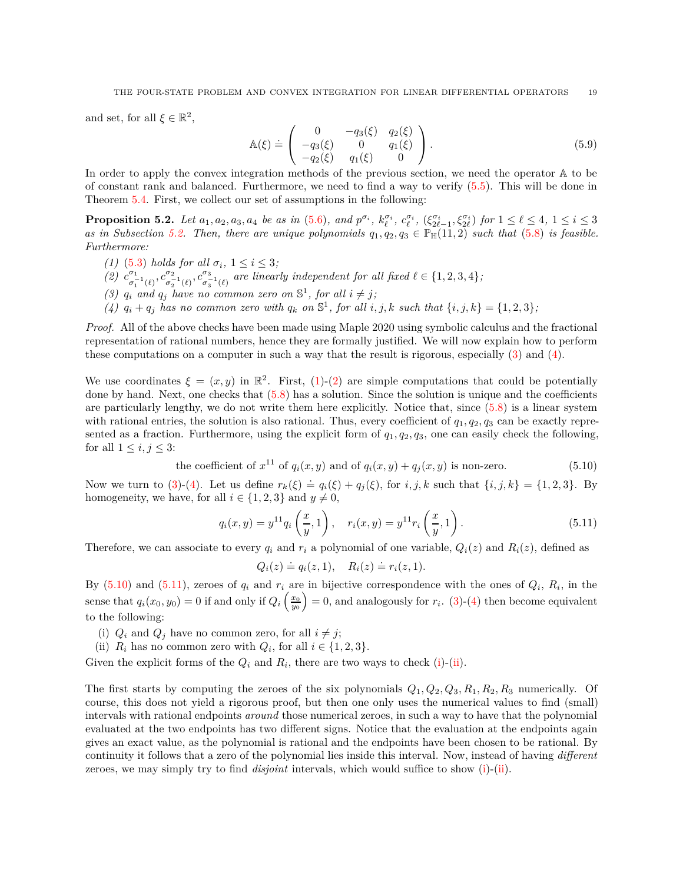and set, for all  $\xi \in \mathbb{R}^2$ ,

<span id="page-18-9"></span>
$$
\mathbb{A}(\xi) \doteq \begin{pmatrix} 0 & -q_3(\xi) & q_2(\xi) \\ -q_3(\xi) & 0 & q_1(\xi) \\ -q_2(\xi) & q_1(\xi) & 0 \end{pmatrix} . \tag{5.9}
$$

In order to apply the convex integration methods of the previous section, we need the operator A to be of constant rank and balanced. Furthermore, we need to find a way to verify [\(5.5\)](#page-17-0). This will be done in Theorem [5.4.](#page-19-0) First, we collect our set of assumptions in the following:

<span id="page-18-0"></span>**Proposition 5.2.** Let  $a_1, a_2, a_3, a_4$  be as in [\(5.6\)](#page-17-3), and  $p^{\sigma_i}$ ,  $k_{\ell}^{\sigma_i}$ ,  $c_{\ell}^{\sigma_i}$ ,  $(\xi_{2\ell-1}^{\sigma_i}, \xi_{2\ell}^{\sigma_i})$  for  $1 \leq \ell \leq 4$ ,  $1 \leq i \leq 3$ *as in Subsection* [5.2.](#page-21-0) *Then, there are unique polynomials*  $q_1, q_2, q_3 \in \mathbb{P}_{\mathbb{H}}(11, 2)$  *such that* [\(5.8\)](#page-17-2) *is feasible. Furthermore:*

- <span id="page-18-4"></span><span id="page-18-3"></span>*(1)* [\(5.3\)](#page-16-4) *holds for all*  $\sigma_i$ ,  $1 \leq i \leq 3$ ;
- <span id="page-18-1"></span> $(2)$   $c^{\sigma_1}$  $\sigma_1^{( {\sigma}_1^{( {\sigma}_1^{( {\sigma}_2^{( {\sigma}_2^{( {\sigma}_1^{( {\sigma}_1^{( {\sigma}_1^{( {\sigma}_1^{( {\sigma}_2^{( {\sigma}_2^{( {\sigma}_1^{( {\sigma}_1^{( {\sigma}_1^{( {\sigma}_2^{( {\sigma}_2^{( {\sigma}_2^{( {\sigma}_1^{( {\sigma}_1^{( {\sigma}_1^{( {\sigma}_1^{( {\sigma}_1^{( {\sigma}_1^{( {\sigma}_1^{( {\sigma}_1^{( {\sigma}_1^{( {\sigma}_1^{( {\sigma}_1^{( {\sigma}_1^{( {\sigma}_1^{( {\sigma}_1^{( {\sigma}_1^{( {\sigma}_1^{( {\sigma}_1^{( {\sigma}_1^{( {\sigma}_1^{( {\sigma}_1$  $\sigma_2^{-1}(\ell)$ <sup>*, c*<sup> $\sigma_3$ </sup><sub>3</sub></sup>  $\sigma_3^{-1}(\ell)$  are linearly independent for all fixed  $\ell \in \{1, 2, 3, 4\}$ ;
- <span id="page-18-2"></span>(3)  $q_i$  and  $q_j$  have no common zero on  $\mathbb{S}^1$ , for all  $i \neq j$ ;
- (4)  $q_i + q_j$  has no common zero with  $q_k$  on  $\mathbb{S}^1$ , for all  $i, j, k$  such that  $\{i, j, k\} = \{1, 2, 3\}$ ;

*Proof.* All of the above checks have been made using Maple 2020 using symbolic calculus and the fractional representation of rational numbers, hence they are formally justified. We will now explain how to perform these computations on a computer in such a way that the result is rigorous, especially [\(3\)](#page-18-1) and [\(4\)](#page-18-2).

We use coordinates  $\xi = (x, y)$  in  $\mathbb{R}^2$ . First, [\(1\)](#page-18-3)-[\(2\)](#page-18-4) are simple computations that could be potentially done by hand. Next, one checks that [\(5.8\)](#page-17-2) has a solution. Since the solution is unique and the coefficients are particularly lengthy, we do not write them here explicitly. Notice that, since [\(5.8\)](#page-17-2) is a linear system with rational entries, the solution is also rational. Thus, every coefficient of  $q_1, q_2, q_3$  can be exactly represented as a fraction. Furthermore, using the explicit form of *q*1*, q*2*, q*3, one can easily check the following, for all  $1 \leq i, j \leq 3$ :

<span id="page-18-5"></span>the coefficient of 
$$
x^{11}
$$
 of  $q_i(x, y)$  and of  $q_i(x, y) + q_j(x, y)$  is non-zero. (5.10)

Now we turn to [\(3\)](#page-18-1)-[\(4\)](#page-18-2). Let us define  $r_k(\xi) \doteq q_i(\xi) + q_j(\xi)$ , for  $i, j, k$  such that  $\{i, j, k\} = \{1, 2, 3\}$ . By homogeneity, we have, for all  $i \in \{1, 2, 3\}$  and  $y \neq 0$ ,

<span id="page-18-6"></span>
$$
q_i(x, y) = y^{11} q_i\left(\frac{x}{y}, 1\right), \quad r_i(x, y) = y^{11} r_i\left(\frac{x}{y}, 1\right). \tag{5.11}
$$

Therefore, we can associate to every  $q_i$  and  $r_i$  a polynomial of one variable,  $Q_i(z)$  and  $R_i(z)$ , defined as

$$
Q_i(z) \doteq q_i(z,1), \quad R_i(z) \doteq r_i(z,1).
$$

By  $(5.10)$  and  $(5.11)$ , zeroes of  $q_i$  and  $r_i$  are in bijective correspondence with the ones of  $Q_i$ ,  $R_i$ , in the sense that  $q_i(x_0, y_0) = 0$  if and only if  $Q_i\left(\frac{x_0}{y_0}\right) = 0$ , and analogously for  $r_i$ . [\(3\)](#page-18-1)-[\(4\)](#page-18-2) then become equivalent to the following:

- <span id="page-18-8"></span><span id="page-18-7"></span>(i)  $Q_i$  and  $Q_j$  have no common zero, for all  $i \neq j$ ;
- (ii)  $R_i$  has no common zero with  $Q_i$ , for all  $i \in \{1, 2, 3\}$ .

Given the explicit forms of the  $Q_i$  and  $R_i$ , there are two ways to check [\(i\)](#page-18-7)-[\(ii\)](#page-18-8).

The first starts by computing the zeroes of the six polynomials *Q*1*, Q*2*, Q*3*, R*1*, R*2*, R*<sup>3</sup> numerically. Of course, this does not yield a rigorous proof, but then one only uses the numerical values to find (small) intervals with rational endpoints *around* those numerical zeroes, in such a way to have that the polynomial evaluated at the two endpoints has two different signs. Notice that the evaluation at the endpoints again gives an exact value, as the polynomial is rational and the endpoints have been chosen to be rational. By continuity it follows that a zero of the polynomial lies inside this interval. Now, instead of having *different* zeroes, we may simply try to find *disjoint* intervals, which would suffice to show [\(i\)](#page-18-7)-[\(ii\)](#page-18-8).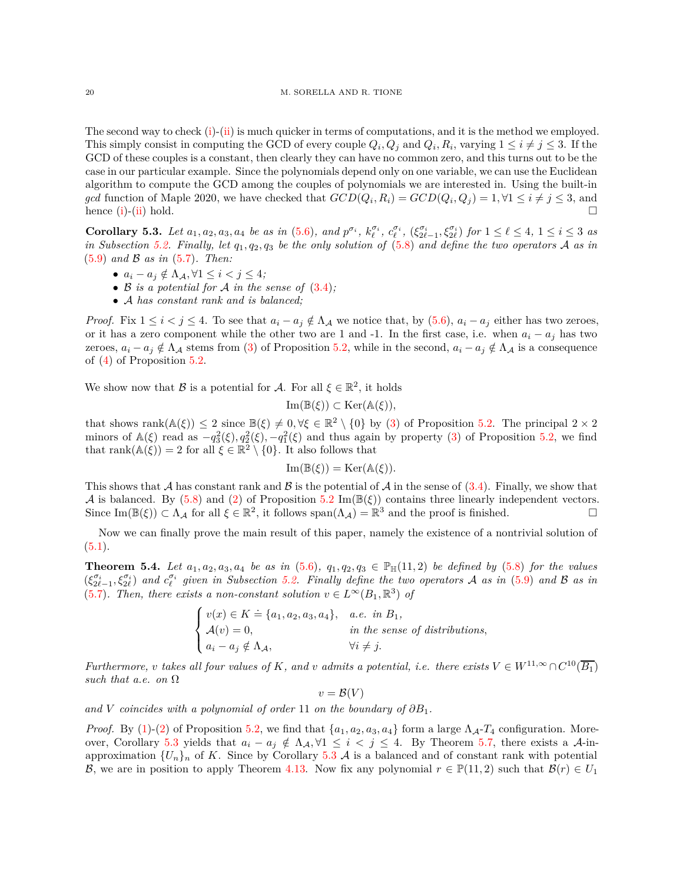The second way to check [\(i\)](#page-18-7)-[\(ii\)](#page-18-8) is much quicker in terms of computations, and it is the method we employed. This simply consist in computing the GCD of every couple  $Q_i, Q_j$  and  $Q_i, R_i$ , varying  $1 \leq i \neq j \leq 3$ . If the GCD of these couples is a constant, then clearly they can have no common zero, and this turns out to be the case in our particular example. Since the polynomials depend only on one variable, we can use the Euclidean algorithm to compute the GCD among the couples of polynomials we are interested in. Using the built-in *gcd* function of Maple 2020, we have checked that  $GCD(Q_i, R_i) = GCD(Q_i, Q_j) = 1, \forall 1 \leq i \neq j \leq 3$ , and hence  $(i)$ - $(ii)$  hold.

<span id="page-19-1"></span>**Corollary 5.3.** Let  $a_1, a_2, a_3, a_4$  be as in [\(5.6\)](#page-17-3), and  $p^{\sigma_i}$ ,  $k_{\ell}^{\sigma_i}$ ,  $c_{\ell}^{\sigma_i}$ ,  $(\xi_{2\ell-1}^{\sigma_i}, \xi_{2\ell}^{\sigma_i})$  for  $1 \leq \ell \leq 4$ ,  $1 \leq i \leq 3$  as *in Subsection [5.2.](#page-21-0) Finally, let q*1*, q*2*, q*<sup>3</sup> *be the only solution of* [\(5.8\)](#page-17-2) *and define the two operators* A *as in* [\(5.9\)](#page-18-9) *and* B *as in* [\(5.7\)](#page-17-4)*. Then:*

- $\bullet$  *a*<sub>*i*</sub> − *a*<sub>*j*</sub>  $\notin$   $\Lambda$ <sub>*A*</sub>,  $\forall$ 1 ≤ *i* < *j* ≤ 4*;*
- B *is a potential for* A *in the sense of* [\(3.4\)](#page-3-3)*;*
- A *has constant rank and is balanced;*

*Proof.* Fix  $1 \leq i < j \leq 4$ . To see that  $a_i - a_j \notin \Lambda_{\mathcal{A}}$  we notice that, by [\(5.6\)](#page-17-3),  $a_i - a_j$  either has two zeroes, or it has a zero component while the other two are 1 and -1. In the first case, i.e. when  $a_i - a_j$  has two zeroes,  $a_i - a_j \notin \Lambda_A$  stems from [\(3\)](#page-18-1) of Proposition [5.2,](#page-18-0) while in the second,  $a_i - a_j \notin \Lambda_A$  is a consequence of [\(4\)](#page-18-2) of Proposition [5.2.](#page-18-0)

We show now that  $\mathcal B$  is a potential for  $\mathcal A$ . For all  $\xi \in \mathbb{R}^2$ , it holds

$$
\operatorname{Im}(\mathbb{B}(\xi)) \subset \operatorname{Ker}(\mathbb{A}(\xi)),
$$

that shows rank $(A(\xi)) \leq 2$  since  $\mathbb{B}(\xi) \neq 0, \forall \xi \in \mathbb{R}^2 \setminus \{0\}$  by [\(3\)](#page-18-1) of Proposition [5.2.](#page-18-0) The principal  $2 \times 2$ minors of  $\mathbb{A}(\xi)$  read as  $-q_3^2(\xi), q_2^2(\xi), -q_1^2(\xi)$  and thus again by property [\(3\)](#page-18-1) of Proposition [5.2,](#page-18-0) we find that rank $(\mathbb{A}(\xi)) = 2$  for all  $\xi \in \mathbb{R}^2 \setminus \{0\}$ . It also follows that

$$
\operatorname{Im}(\mathbb{B}(\xi)) = \operatorname{Ker}(\mathbb{A}(\xi)).
$$

This shows that A has constant rank and B is the potential of A in the sense of  $(3.4)$ . Finally, we show that A is balanced. By [\(5.8\)](#page-17-2) and [\(2\)](#page-18-4) of Proposition [5.2](#page-18-0) Im( $\mathbb{B}(\xi)$ ) contains three linearly independent vectors. Since  $\text{Im}(\mathbb{B}(\xi)) \subset \Lambda_{\mathcal{A}}$  for all  $\xi \in \mathbb{R}^2$ , it follows  $\text{span}(\Lambda_{\mathcal{A}}) = \mathbb{R}^3$  and the proof is finished.

Now we can finally prove the main result of this paper, namely the existence of a nontrivial solution of  $(5.1).$  $(5.1).$ 

<span id="page-19-0"></span>**Theorem 5.4.** *Let*  $a_1, a_2, a_3, a_4$  *be as in* [\(5.6\)](#page-17-3)*,*  $q_1, q_2, q_3 \in \mathbb{P}_{\mathbb{H}}(11,2)$  *be defined by* [\(5.8\)](#page-17-2) *for the values*  $(\xi_{2\ell-1}^{\sigma_i}, \xi_{2\ell}^{\sigma_i})$  and  $c_{\ell}^{\sigma_i}$  given in Subsection [5.2.](#page-21-0) Finally define the two operators A as in [\(5.9\)](#page-18-9) and B as in [\(5.7\)](#page-17-4)*. Then, there exists a non-constant solution*  $v \in L^{\infty}(B_1, \mathbb{R}^3)$  *of* 

$$
\begin{cases}\nv(x) \in K \doteq \{a_1, a_2, a_3, a_4\}, & a.e. \in B_1, \\
\mathcal{A}(v) = 0, & in \ the \ sense \ of \ distributions, \\
a_i - a_j \notin \Lambda_A, & \forall i \neq j.\n\end{cases}
$$

*Furthermore, v takes all four values of K, and v admits a potential, i.e. there exists*  $V \in W^{11,\infty} \cap C^{10}(\overline{B_1})$ *such that a.e. on* Ω

 $v = \mathcal{B}(V)$ 

and *V coincides with a polynomial of order* 11 *on the boundary of*  $\partial B_1$ *.* 

*Proof.* By [\(1\)](#page-18-3)-[\(2\)](#page-18-4) of Proposition [5.2,](#page-18-0) we find that  $\{a_1, a_2, a_3, a_4\}$  form a large  $\Lambda_{\mathcal{A}}$ - $T_4$  configuration. More-over, Corollary [5.3](#page-19-1) yields that  $a_i - a_j \notin \Lambda_A, \forall 1 \leq i \leq j \leq 4$ . By Theorem [5.7,](#page-21-1) there exists a A-inapproximation  $\{U_n\}_n$  of *K*. Since by Corollary [5.3](#page-19-1) A is a balanced and of constant rank with potential B, we are in position to apply Theorem [4.13.](#page-14-1) Now fix any polynomial  $r \in \mathbb{P}(11,2)$  such that  $\mathcal{B}(r) \in U_1$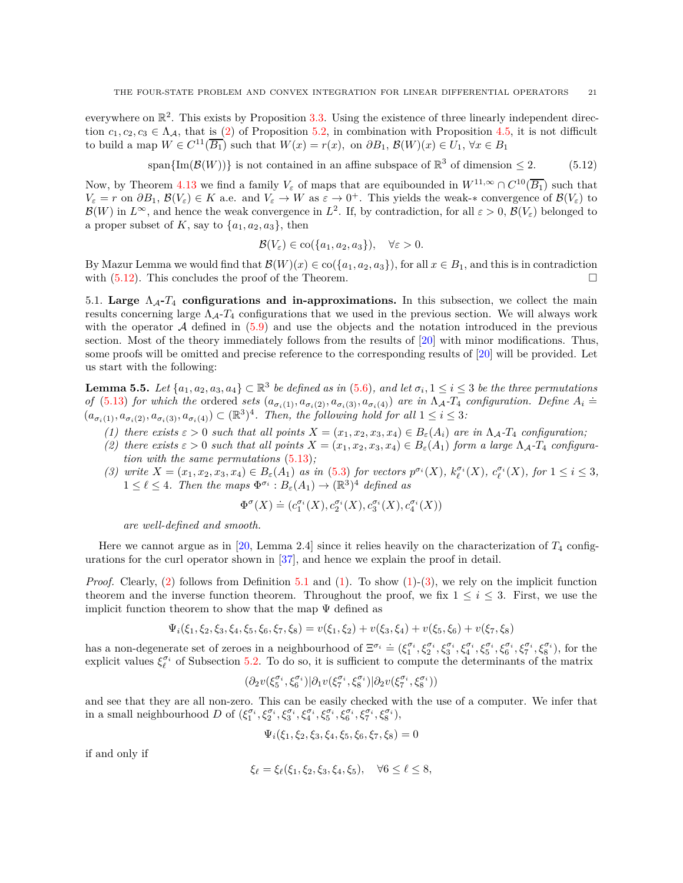everywhere on  $\mathbb{R}^2$ . This exists by Proposition [3.3.](#page-4-3) Using the existence of three linearly independent direction  $c_1, c_2, c_3 \in \Lambda_A$ , that is [\(2\)](#page-18-4) of Proposition [5.2,](#page-18-0) in combination with Proposition [4.5,](#page-11-1) it is not difficult to build a map  $W \in C^{11}(\overline{B_1})$  such that  $W(x) = r(x)$ , on  $\partial B_1$ ,  $\mathcal{B}(W)(x) \in U_1$ ,  $\forall x \in B_1$ 

<span id="page-20-1"></span>span $\{\text{Im}(\mathcal{B}(W))\}$  is not contained in an affine subspace of  $\mathbb{R}^3$  of dimension  $\leq 2$ . (5.12)

Now, by Theorem [4.13](#page-14-1) we find a family  $V_{\varepsilon}$  of maps that are equibounded in  $W^{11,\infty} \cap C^{10}(\overline{B_1})$  such that  $V_{\varepsilon} = r$  on  $\partial B_1$ ,  $\mathcal{B}(V_{\varepsilon}) \in K$  a.e. and  $V_{\varepsilon} \to W$  as  $\varepsilon \to 0^+$ . This yields the weak-\* convergence of  $\mathcal{B}(V_{\varepsilon})$  to  $\mathcal{B}(W)$  in  $L^{\infty}$ , and hence the weak convergence in  $L^2$ . If, by contradiction, for all  $\varepsilon > 0$ ,  $\mathcal{B}(V_{\varepsilon})$  belonged to a proper subset of K, say to  $\{a_1, a_2, a_3\}$ , then

$$
\mathcal{B}(V_{\varepsilon}) \in \text{co}(\{a_1, a_2, a_3\}), \quad \forall \varepsilon > 0.
$$

By Mazur Lemma we would find that  $\mathcal{B}(W)(x) \in \text{co}(\{a_1, a_2, a_3\})$ , for all  $x \in B_1$ , and this is in contradiction with  $(5.12)$ . This concludes the proof of the Theorem.

<span id="page-20-0"></span>5.1. **Large**  $\Lambda_{\mathcal{A}}$ - $T_4$  **configurations and in-approximations.** In this subsection, we collect the main results concerning large ΛA-*T*<sup>4</sup> configurations that we used in the previous section. We will always work with the operator  $A$  defined in  $(5.9)$  and use the objects and the notation introduced in the previous section. Most of the theory immediately follows from the results of [\[20\]](#page-23-1) with minor modifications. Thus, some proofs will be omitted and precise reference to the corresponding results of [\[20\]](#page-23-1) will be provided. Let us start with the following:

<span id="page-20-5"></span>**Lemma 5.5.** *Let*  $\{a_1, a_2, a_3, a_4\} \subset \mathbb{R}^3$  *be defined as in* [\(5.6\)](#page-17-3), and let  $\sigma_i, 1 \leq i \leq 3$  *be the three permutations* of [\(5.13\)](#page-21-2) for which the ordered sets  $(a_{\sigma_i(1)}, a_{\sigma_i(2)}, a_{\sigma_i(3)}, a_{\sigma_i(4)})$  are in  $\Lambda_A$ -T<sub>4</sub> configuration. Define  $A_i \doteq$  $(a_{\sigma_i(1)}, a_{\sigma_i(2)}, a_{\sigma_i(3)}, a_{\sigma_i(4)}) \subset (\mathbb{R}^3)^4$ . Then, the following hold for all  $1 \leq i \leq 3$ :

- <span id="page-20-3"></span><span id="page-20-2"></span>*(1) there exists*  $\varepsilon > 0$  *such that all points*  $X = (x_1, x_2, x_3, x_4) \in B_{\varepsilon}(A_i)$  *are in*  $\Lambda_{\mathcal{A}}$ *-T*<sub>4</sub> *configuration*;
- (2) there exists  $\varepsilon > 0$  such that all points  $X = (x_1, x_2, x_3, x_4) \in B_{\varepsilon}(A_1)$  form a large  $\Lambda_A$ - $T_4$  configura*tion with the same permutations* [\(5.13\)](#page-21-2)*;*
- <span id="page-20-4"></span>(3) write  $X = (x_1, x_2, x_3, x_4) \in B_{\varepsilon}(A_1)$  as in [\(5.3\)](#page-16-4) for vectors  $p^{\sigma_i}(X)$ ,  $k_{\ell}^{\sigma_i}(X)$ ,  $c_{\ell}^{\sigma_i}(X)$ , for  $1 \leq i \leq 3$ ,  $1 \leq \ell \leq 4$ . Then the maps  $\Phi^{\sigma_i}: B_{\varepsilon}(A_1) \to (\mathbb{R}^3)^4$  defined as

$$
\Phi^{\sigma}(X) \doteq (c_1^{\sigma_i}(X), c_2^{\sigma_i}(X), c_3^{\sigma_i}(X), c_4^{\sigma_i}(X))
$$

*are well-defined and smooth.*

Here we cannot argue as in [\[20,](#page-23-1) Lemma 2.4] since it relies heavily on the characterization of *T*<sup>4</sup> configurations for the curl operator shown in [\[37\]](#page-24-11), and hence we explain the proof in detail.

*Proof.* Clearly, [\(2\)](#page-20-2) follows from Definition [5.1](#page-16-0) and [\(1\)](#page-20-3). To show [\(1\)](#page-20-3)-[\(3\)](#page-20-4), we rely on the implicit function theorem and the inverse function theorem. Throughout the proof, we fix  $1 \leq i \leq 3$ . First, we use the implicit function theorem to show that the map  $\Psi$  defined as

$$
\Psi_i(\xi_1, \xi_2, \xi_3, \xi_4, \xi_5, \xi_6, \xi_7, \xi_8) = v(\xi_1, \xi_2) + v(\xi_3, \xi_4) + v(\xi_5, \xi_6) + v(\xi_7, \xi_8)
$$

has a non-degenerate set of zeroes in a neighbourhood of  $\Xi^{\sigma_i} \doteq (\xi_1^{\sigma_i}, \xi_2^{\sigma_i}, \xi_3^{\sigma_i}, \xi_4^{\sigma_i}, \xi_5^{\sigma_i}, \xi_6^{\sigma_i}, \xi_7^{\sigma_i}, \xi_8^{\sigma_i})$ , for the explicit values  $\xi_{\ell}^{\sigma_i}$  of Subsection [5.2.](#page-21-0) To do so, it is sufficient to compute the determinants of the matrix

$$
(\partial_2 v(\xi_5^{\sigma_i},\xi_6^{\sigma_i})|\partial_1 v(\xi_7^{\sigma_i},\xi_8^{\sigma_i})|\partial_2 v(\xi_7^{\sigma_i},\xi_8^{\sigma_i}))
$$

and see that they are all non-zero. This can be easily checked with the use of a computer. We infer that in a small neighbourhood D of  $(\xi_1^{\sigma_i}, \xi_2^{\sigma_i}, \xi_3^{\sigma_i}, \xi_4^{\sigma_i}, \xi_5^{\sigma_i}, \xi_6^{\sigma_i}, \xi_7^{\sigma_i}, \xi_8^{\sigma_i}),$ 

$$
\Psi_i(\xi_1, \xi_2, \xi_3, \xi_4, \xi_5, \xi_6, \xi_7, \xi_8) = 0
$$

if and only if

$$
\xi_{\ell} = \xi_{\ell}(\xi_1, \xi_2, \xi_3, \xi_4, \xi_5), \quad \forall 6 \leq \ell \leq 8,
$$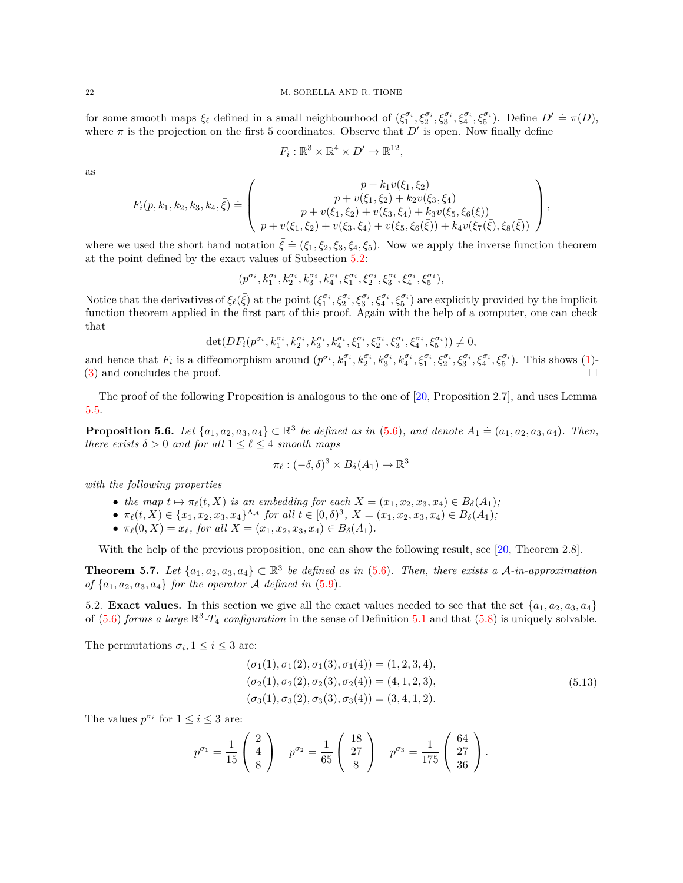for some smooth maps  $\xi_{\ell}$  defined in a small neighbourhood of  $(\xi_1^{\sigma_i}, \xi_2^{\sigma_i}, \xi_3^{\sigma_i}, \xi_4^{\sigma_i}, \xi_5^{\sigma_i})$ . Define  $D' \doteq \pi(D)$ , where  $\pi$  is the projection on the first 5 coordinates. Observe that  $D'$  is open. Now finally define

$$
F_i: \mathbb{R}^3 \times \mathbb{R}^4 \times D' \to \mathbb{R}^{12},
$$

as

$$
F_i(p, k_1, k_2, k_3, k_4, \bar{\xi}) \doteq \left( \begin{array}{c} p + k_1 v(\xi_1, \xi_2) \\ p + v(\xi_1, \xi_2) + k_2 v(\xi_3, \xi_4) \\ p + v(\xi_1, \xi_2) + v(\xi_3, \xi_4) + k_3 v(\xi_5, \xi_6(\bar{\xi})) \\ p + v(\xi_1, \xi_2) + v(\xi_3, \xi_4) + v(\xi_5, \xi_6(\bar{\xi})) + k_4 v(\xi_7(\bar{\xi}), \xi_8(\bar{\xi})) \end{array} \right),
$$

where we used the short hand notation  $\bar{\xi} \doteq (\xi_1, \xi_2, \xi_3, \xi_4, \xi_5)$ . Now we apply the inverse function theorem at the point defined by the exact values of Subsection [5.2:](#page-21-0)

$$
(p^{\sigma_i},k_1^{\sigma_i},k_2^{\sigma_i},k_3^{\sigma_i},k_4^{\sigma_i},\xi_1^{\sigma_i},\xi_2^{\sigma_i},\xi_3^{\sigma_i},\xi_4^{\sigma_i},\xi_5^{\sigma_i}),
$$

Notice that the derivatives of  $\xi_{\ell}(\bar{\xi})$  at the point  $(\xi_1^{\sigma_i}, \xi_2^{\sigma_i}, \xi_3^{\sigma_i}, \xi_4^{\sigma_i}, \xi_5^{\sigma_i})$  are explicitly provided by the implicit function theorem applied in the first part of this proof. Again with the help of a computer, one can check that

$$
\det(DF_i(p^{\sigma_i}, k_1^{\sigma_i}, k_2^{\sigma_i}, k_3^{\sigma_i}, k_4^{\sigma_i}, \xi_1^{\sigma_i}, \xi_2^{\sigma_i}, \xi_3^{\sigma_i}, \xi_4^{\sigma_i}, \xi_5^{\sigma_i})) \neq 0,
$$

and hence that  $F_i$  is a diffeomorphism around  $(p^{\sigma_i}, k_1^{\sigma_i}, k_2^{\sigma_i}, k_3^{\sigma_i}, k_4^{\sigma_i}, \xi_1^{\sigma_i}, \xi_2^{\sigma_i}, \xi_3^{\sigma_i}, \xi_4^{\sigma_i}, \xi_5^{\sigma_i})$ . This shows [\(1\)](#page-20-3)- $(3)$  and concludes the proof.

The proof of the following Proposition is analogous to the one of [\[20,](#page-23-1) Proposition 2.7], and uses Lemma [5.5.](#page-20-5)

**Proposition 5.6.** *Let*  $\{a_1, a_2, a_3, a_4\}$  ⊂  $\mathbb{R}^3$  *be defined as in* [\(5.6\)](#page-17-3)*, and denote*  $A_1 ≒ (a_1, a_2, a_3, a_4)$ *. Then, there exists*  $\delta > 0$  *and for all*  $1 \leq \ell \leq 4$  *smooth maps* 

$$
\pi_{\ell} : (-\delta, \delta)^3 \times B_{\delta}(A_1) \to \mathbb{R}^3
$$

*with the following properties*

- *the map*  $t \mapsto \pi_{\ell}(t, X)$  *is an embedding for each*  $X = (x_1, x_2, x_3, x_4) \in B_{\delta}(A_1)$ ;
- $\pi_{\ell}(t, X) \in \{x_1, x_2, x_3, x_4\}^{\Lambda_{\mathcal{A}}}$  for all  $t \in [0, \delta)^3$ ,  $X = (x_1, x_2, x_3, x_4) \in B_{\delta}(A_1)$ ;
- $\pi_{\ell}(0, X) = x_{\ell}$ , for all  $X = (x_1, x_2, x_3, x_4) \in B_{\delta}(A_1)$ .

With the help of the previous proposition, one can show the following result, see [\[20,](#page-23-1) Theorem 2.8].

<span id="page-21-1"></span>**Theorem 5.7.** Let  $\{a_1, a_2, a_3, a_4\} \subset \mathbb{R}^3$  be defined as in [\(5.6\)](#page-17-3). Then, there exists a A-in-approximation of  $\{a_1, a_2, a_3, a_4\}$  for the operator A defined in  $(5.9)$ .

<span id="page-21-0"></span>5.2. **Exact values.** In this section we give all the exact values needed to see that the set  $\{a_1, a_2, a_3, a_4\}$ of  $(5.6)$  *forms a large*  $\mathbb{R}^3$ -*T*<sub>4</sub> *configuration* in the sense of Definition [5.1](#page-16-0) and that  $(5.8)$  is uniquely solvable.

The permutations  $\sigma_i$ ,  $1 \leq i \leq 3$  are:

$$
(\sigma_1(1), \sigma_1(2), \sigma_1(3), \sigma_1(4)) = (1, 2, 3, 4),\n(\sigma_2(1), \sigma_2(2), \sigma_2(3), \sigma_2(4)) = (4, 1, 2, 3),\n(\sigma_3(1), \sigma_3(2), \sigma_3(3), \sigma_3(4)) = (3, 4, 1, 2).
$$
\n(5.13)

<span id="page-21-2"></span>The values  $p^{\sigma_i}$  for  $1 \leq i \leq 3$  are:

$$
p^{\sigma_1} = \frac{1}{15} \begin{pmatrix} 2 \\ 4 \\ 8 \end{pmatrix} \quad p^{\sigma_2} = \frac{1}{65} \begin{pmatrix} 18 \\ 27 \\ 8 \end{pmatrix} \quad p^{\sigma_3} = \frac{1}{175} \begin{pmatrix} 64 \\ 27 \\ 36 \end{pmatrix}.
$$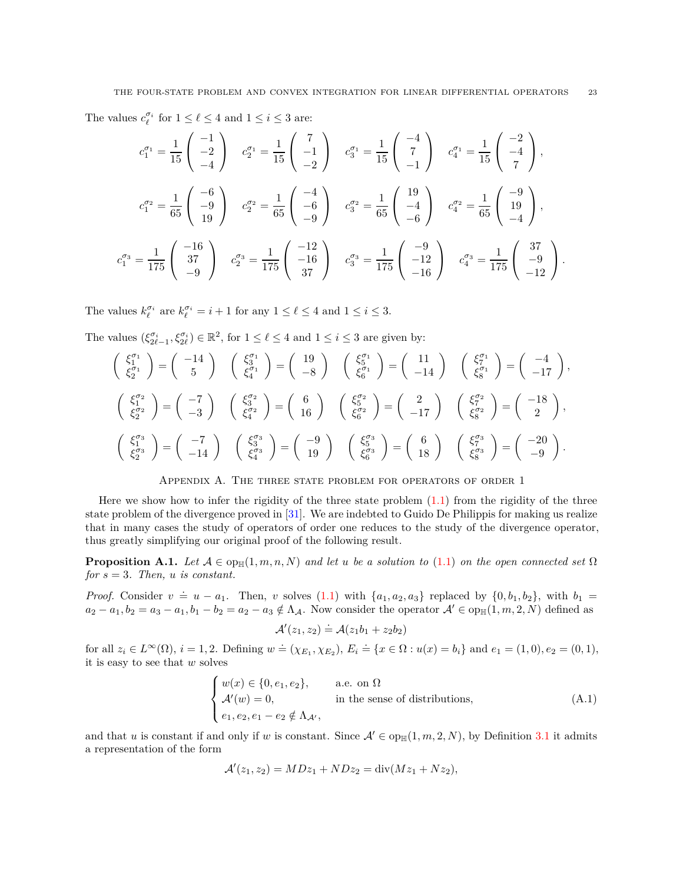The values  $c_{\ell}^{\sigma_i}$  for  $1 \leq \ell \leq 4$  and  $1 \leq i \leq 3$  are:

$$
c_1^{\sigma_1} = \frac{1}{15} \begin{pmatrix} -1 \\ -2 \\ -4 \end{pmatrix} \quad c_2^{\sigma_1} = \frac{1}{15} \begin{pmatrix} 7 \\ -1 \\ -2 \end{pmatrix} \quad c_3^{\sigma_1} = \frac{1}{15} \begin{pmatrix} -4 \\ 7 \\ -1 \end{pmatrix} \quad c_4^{\sigma_1} = \frac{1}{15} \begin{pmatrix} -2 \\ -4 \\ 7 \end{pmatrix},
$$
  

$$
c_1^{\sigma_2} = \frac{1}{65} \begin{pmatrix} -6 \\ -9 \\ 19 \end{pmatrix} \quad c_2^{\sigma_2} = \frac{1}{65} \begin{pmatrix} -4 \\ -6 \\ -9 \end{pmatrix} \quad c_3^{\sigma_2} = \frac{1}{65} \begin{pmatrix} 19 \\ -4 \\ -6 \end{pmatrix} \quad c_4^{\sigma_2} = \frac{1}{65} \begin{pmatrix} -9 \\ 19 \\ -4 \end{pmatrix},
$$
  

$$
c_1^{\sigma_3} = \frac{1}{175} \begin{pmatrix} -16 \\ 37 \\ -9 \end{pmatrix} \quad c_2^{\sigma_3} = \frac{1}{175} \begin{pmatrix} -12 \\ -16 \\ 37 \end{pmatrix} \quad c_3^{\sigma_3} = \frac{1}{175} \begin{pmatrix} -9 \\ -12 \\ -16 \end{pmatrix} \quad c_4^{\sigma_3} = \frac{1}{175} \begin{pmatrix} 37 \\ -9 \\ -12 \end{pmatrix}.
$$

The values  $k_{\ell}^{\sigma_i}$  are  $k_{\ell}^{\sigma_i} = i + 1$  for any  $1 \leq \ell \leq 4$  and  $1 \leq i \leq 3$ .

The values  $(\xi_{2\ell-1}^{\sigma_i}, \xi_{2\ell}^{\sigma_i}) \in \mathbb{R}^2$ , for  $1 \leq \ell \leq 4$  and  $1 \leq i \leq 3$  are given by:

$$
\begin{pmatrix}\n\xi_1^{\sigma_1} \\
\xi_2^{\sigma_1}\n\end{pmatrix} = \begin{pmatrix}\n-14 \\
5\n\end{pmatrix} \quad\n\begin{pmatrix}\n\xi_3^{\sigma_1} \\
\xi_4^{\sigma_1}\n\end{pmatrix} = \begin{pmatrix}\n19 \\
-8\n\end{pmatrix} \quad\n\begin{pmatrix}\n\xi_5^{\sigma_1} \\
\xi_6^{\sigma_1}\n\end{pmatrix} = \begin{pmatrix}\n11 \\
-14\n\end{pmatrix} \quad\n\begin{pmatrix}\n\xi_7^{\sigma_1} \\
\xi_8^{\sigma_1}\n\end{pmatrix} = \begin{pmatrix}\n-4 \\
-17\n\end{pmatrix},
$$
\n
$$
\begin{pmatrix}\n\xi_1^{\sigma_2} \\
\xi_2^{\sigma_2}\n\end{pmatrix} = \begin{pmatrix}\n-7 \\
-3\n\end{pmatrix} \quad\n\begin{pmatrix}\n\xi_3^{\sigma_2} \\
\xi_4^{\sigma_2}\n\end{pmatrix} = \begin{pmatrix}\n6 \\
16\n\end{pmatrix} \quad\n\begin{pmatrix}\n\xi_5^{\sigma_2} \\
\xi_6^{\sigma_2}\n\end{pmatrix} = \begin{pmatrix}\n2 \\
-17\n\end{pmatrix} \quad\n\begin{pmatrix}\n\xi_5^{\sigma_2} \\
\xi_8^{\sigma_2}\n\end{pmatrix} = \begin{pmatrix}\n-18 \\
2\n\end{pmatrix},
$$
\n
$$
\begin{pmatrix}\n\xi_1^{\sigma_3} \\
\xi_2^{\sigma_3}\n\end{pmatrix} = \begin{pmatrix}\n-7 \\
-14\n\end{pmatrix} \quad\n\begin{pmatrix}\n\xi_3^{\sigma_3} \\
\xi_4^{\sigma_3}\n\end{pmatrix} = \begin{pmatrix}\n-9 \\
19\n\end{pmatrix} \quad\n\begin{pmatrix}\n\xi_5^{\sigma_3} \\
\xi_6^{\sigma_3}\n\end{pmatrix} = \begin{pmatrix}\n6 \\
18\n\end{pmatrix} \quad\n\begin{pmatrix}\n\xi_5^{\sigma_3} \\
\xi_8^{\sigma_3}\n\end{pmatrix} = \begin{pmatrix}\n-20 \\
-9\n\end{pmatrix}.
$$

Appendix A. The three state problem for operators of order 1

Here we show how to infer the rigidity of the three state problem  $(1.1)$  from the rigidity of the three state problem of the divergence proved in [\[31\]](#page-24-3). We are indebted to Guido De Philippis for making us realize that in many cases the study of operators of order one reduces to the study of the divergence operator, thus greatly simplifying our original proof of the following result.

<span id="page-22-0"></span>**Proposition A.1.** *Let*  $\mathcal{A} \in \text{opp}_{\mathbb{H}}(1,m,n,N)$  *and let u be a solution to* [\(1.1\)](#page-1-0) *on the open connected set*  $\Omega$ *for*  $s = 3$ *. Then, u is constant.* 

*Proof.* Consider  $v = u - a_1$ . Then, *v* solves [\(1.1\)](#page-1-0) with  $\{a_1, a_2, a_3\}$  replaced by  $\{0, b_1, b_2\}$ , with  $b_1 =$  $a_2 - a_1, b_2 = a_3 - a_1, b_1 - b_2 = a_2 - a_3 \notin \Lambda_{\mathcal{A}}$ . Now consider the operator  $\mathcal{A}' \in \text{op}_{\mathbb{H}}(1, m, 2, N)$  defined as

$$
\mathcal{A}'(z_1, z_2) \doteq \mathcal{A}(z_1b_1 + z_2b_2)
$$

for all  $z_i \in L^{\infty}(\Omega)$ ,  $i = 1, 2$ . Defining  $w \doteq (\chi_{E_1}, \chi_{E_2})$ ,  $E_i \doteq \{x \in \Omega : u(x) = b_i\}$  and  $e_1 = (1, 0), e_2 = (0, 1),$ it is easy to see that *w* solves

<span id="page-22-1"></span>
$$
\begin{cases}\nw(x) \in \{0, e_1, e_2\}, & \text{a.e. on } \Omega \\
\mathcal{A}'(w) = 0, & \text{in the sense of distributions,} \\
e_1, e_2, e_1 - e_2 \notin \Lambda_{\mathcal{A}'},\n\end{cases} \tag{A.1}
$$

and that *u* is constant if and only if *w* is constant. Since  $\mathcal{A}' \in \text{op}_{\mathbb{H}}(1,m, 2, N)$ , by Definition [3.1](#page-3-2) it admits a representation of the form

$$
\mathcal{A}'(z_1, z_2) = MDz_1 + NDz_2 = \text{div}(Mz_1 + Nz_2),
$$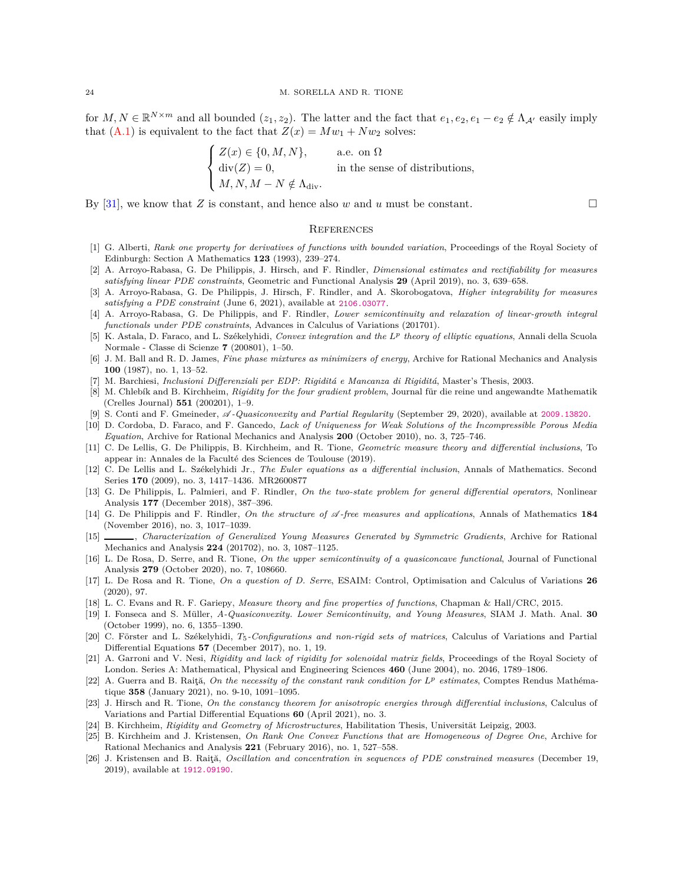for  $M, N \in \mathbb{R}^{N \times m}$  and all bounded  $(z_1, z_2)$ . The latter and the fact that  $e_1, e_2, e_1 - e_2 \notin \Lambda_{\mathcal{A}}$  easily imply that  $(A.1)$  is equivalent to the fact that  $Z(x) = Mw_1 + Nw_2$  solves:

$$
\begin{cases}\nZ(x) \in \{0, M, N\}, & \text{a.e. on } \Omega \\
\text{div}(Z) = 0, & \text{in the sense of distributions,} \\
M, N, M - N \notin \Lambda_{\text{div}}.\n\end{cases}
$$

By [\[31\]](#page-24-3), we know that *Z* is constant, and hence also *w* and *u* must be constant.

#### **REFERENCES**

- <span id="page-23-2"></span>[1] G. Alberti, *Rank one property for derivatives of functions with bounded variation*, Proceedings of the Royal Society of Edinburgh: Section A Mathematics **123** (1993), 239–274.
- <span id="page-23-7"></span>[2] A. Arroyo-Rabasa, G. De Philippis, J. Hirsch, and F. Rindler, *Dimensional estimates and rectifiability for measures satisfying linear PDE constraints*, Geometric and Functional Analysis **29** (April 2019), no. 3, 639–658.
- <span id="page-23-8"></span>[3] A. Arroyo-Rabasa, G. De Philippis, J. Hirsch, F. Rindler, and A. Skorobogatova, *Higher integrability for measures satisfying a PDE constraint* (June 6, 2021), available at <2106.03077>.
- <span id="page-23-10"></span>[4] A. Arroyo-Rabasa, G. De Philippis, and F. Rindler, *Lower semicontinuity and relaxation of linear-growth integral functionals under PDE constraints*, Advances in Calculus of Variations (201701).
- <span id="page-23-23"></span>[5] K. Astala, D. Faraco, and L. Székelyhidi, *Convex integration and the L<sup>p</sup> theory of elliptic equations*, Annali della Scuola Normale - Classe di Scienze **7** (200801), 1–50.
- <span id="page-23-14"></span>[6] J. M. Ball and R. D. James, *Fine phase mixtures as minimizers of energy*, Archive for Rational Mechanics and Analysis **100** (1987), no. 1, 13–52.
- <span id="page-23-16"></span>[7] M. Barchiesi, *Inclusioni Differenziali per EDP: Rigiditá e Mancanza di Rigiditá*, Master's Thesis, 2003.
- <span id="page-23-15"></span>[8] M. Chlebík and B. Kirchheim, *Rigidity for the four gradient problem*, Journal für die reine und angewandte Mathematik (Crelles Journal) **551** (200201), 1–9.
- <span id="page-23-9"></span>[9] S. Conti and F. Gmeineder,  $\mathscr A$ -Quasiconvexity and Partial Regularity (September 29, 2020), available at <2009.13820>.
- <span id="page-23-18"></span>[10] D. Cordoba, D. Faraco, and F. Gancedo, *Lack of Uniqueness for Weak Solutions of the Incompressible Porous Media Equation*, Archive for Rational Mechanics and Analysis **200** (October 2010), no. 3, 725–746.
- <span id="page-23-20"></span>[11] C. De Lellis, G. De Philippis, B. Kirchheim, and R. Tione, *Geometric measure theory and differential inclusions*, To appear in: Annales de la Faculté des Sciences de Toulouse (2019).
- <span id="page-23-19"></span>[12] C. De Lellis and L. Székelyhidi Jr., *The Euler equations as a differential inclusion*, Annals of Mathematics. Second Series **170** (2009), no. 3, 1417–1436. MR2600877
- <span id="page-23-17"></span>[13] G. De Philippis, L. Palmieri, and F. Rindler, *On the two-state problem for general differential operators*, Nonlinear Analysis **177** (December 2018), 387–396.
- <span id="page-23-3"></span>[14] G. De Philippis and F. Rindler, *On the structure of* A *-free measures and applications*, Annals of Mathematics **184** (November 2016), no. 3, 1017–1039.
- <span id="page-23-12"></span>[15] , *Characterization of Generalized Young Measures Generated by Symmetric Gradients*, Archive for Rational Mechanics and Analysis **224** (201702), no. 3, 1087–1125.
- <span id="page-23-4"></span>[16] L. De Rosa, D. Serre, and R. Tione, *On the upper semicontinuity of a quasiconcave functional*, Journal of Functional Analysis **279** (October 2020), no. 7, 108660.
- <span id="page-23-5"></span>[17] L. De Rosa and R. Tione, *On a question of D. Serre*, ESAIM: Control, Optimisation and Calculus of Variations **26** (2020), 97.
- <span id="page-23-25"></span>[18] L. C. Evans and R. F. Gariepy, *Measure theory and fine properties of functions*, Chapman & Hall/CRC, 2015.
- <span id="page-23-11"></span>[19] I. Fonseca and S. Müller, *A-Quasiconvexity. Lower Semicontinuity, and Young Measures*, SIAM J. Math. Anal. **30** (October 1999), no. 6, 1355–1390.
- <span id="page-23-1"></span>[20] C. Förster and L. Székelyhidi, *T*5*-Configurations and non-rigid sets of matrices*, Calculus of Variations and Partial Differential Equations **57** (December 2017), no. 1, 19.
- <span id="page-23-6"></span>[21] A. Garroni and V. Nesi, *Rigidity and lack of rigidity for solenoidal matrix fields*, Proceedings of the Royal Society of London. Series A: Mathematical, Physical and Engineering Sciences **460** (June 2004), no. 2046, 1789–1806.
- <span id="page-23-22"></span>[22] A. Guerra and B. Raiţă, *On the necessity of the constant rank condition for L<sup>p</sup> estimates*, Comptes Rendus Mathématique **358** (January 2021), no. 9-10, 1091–1095.
- <span id="page-23-21"></span>[23] J. Hirsch and R. Tione, *On the constancy theorem for anisotropic energies through differential inclusions*, Calculus of Variations and Partial Differential Equations **60** (April 2021), no. 3.
- <span id="page-23-0"></span>[24] B. Kirchheim, *Rigidity and Geometry of Microstructures*, Habilitation Thesis, Universität Leipzig, 2003.
- <span id="page-23-24"></span>[25] B. Kirchheim and J. Kristensen, *On Rank One Convex Functions that are Homogeneous of Degree One*, Archive for Rational Mechanics and Analysis **221** (February 2016), no. 1, 527–558.
- <span id="page-23-13"></span>[26] J. Kristensen and B. Raiţă, *Oscillation and concentration in sequences of PDE constrained measures* (December 19, 2019), available at <1912.09190>.